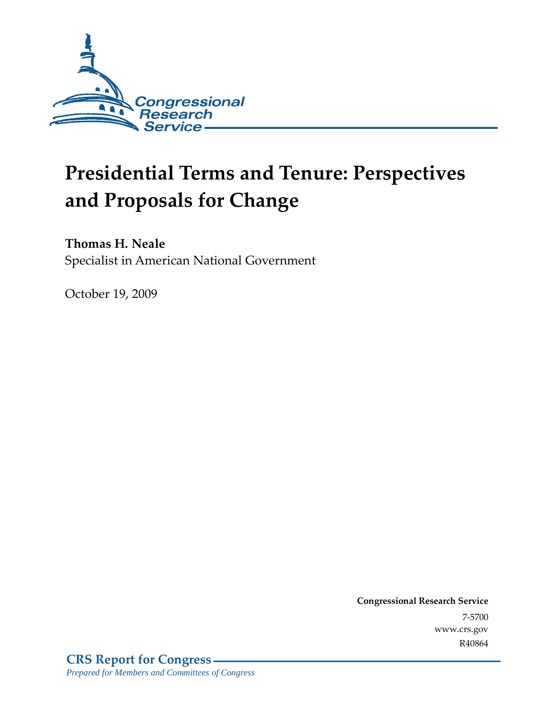

# **Presidential Terms and Tenure: Perspectives and Proposals for Change**

## **Thomas H. Neale**

Specialist in American National Government

October 19, 2009

**Congressional Research Service** 7-5700 www.crs.gov R40864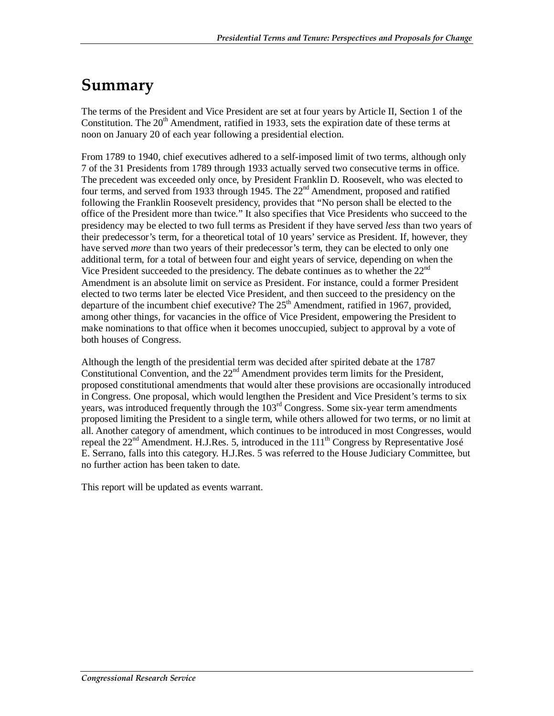# **Summary**

The terms of the President and Vice President are set at four years by Article II, Section 1 of the Constitution. The 20<sup>th</sup> Amendment, ratified in 1933, sets the expiration date of these terms at noon on January 20 of each year following a presidential election.

From 1789 to 1940, chief executives adhered to a self-imposed limit of two terms, although only 7 of the 31 Presidents from 1789 through 1933 actually served two consecutive terms in office. The precedent was exceeded only once, by President Franklin D. Roosevelt, who was elected to four terms, and served from 1933 through 1945. The 22<sup>nd</sup> Amendment, proposed and ratified following the Franklin Roosevelt presidency, provides that "No person shall be elected to the office of the President more than twice." It also specifies that Vice Presidents who succeed to the presidency may be elected to two full terms as President if they have served *less* than two years of their predecessor's term, for a theoretical total of 10 years' service as President. If, however, they have served *more* than two years of their predecessor's term, they can be elected to only one additional term, for a total of between four and eight years of service, depending on when the Vice President succeeded to the presidency. The debate continues as to whether the 22<sup>nd</sup> Amendment is an absolute limit on service as President. For instance, could a former President elected to two terms later be elected Vice President, and then succeed to the presidency on the departure of the incumbent chief executive? The  $25<sup>th</sup>$  Amendment, ratified in 1967, provided, among other things, for vacancies in the office of Vice President, empowering the President to make nominations to that office when it becomes unoccupied, subject to approval by a vote of both houses of Congress.

Although the length of the presidential term was decided after spirited debate at the 1787 Constitutional Convention, and the 22<sup>nd</sup> Amendment provides term limits for the President, proposed constitutional amendments that would alter these provisions are occasionally introduced in Congress. One proposal, which would lengthen the President and Vice President's terms to six years, was introduced frequently through the  $103<sup>rd</sup>$  Congress. Some six-year term amendments proposed limiting the President to a single term, while others allowed for two terms, or no limit at all. Another category of amendment, which continues to be introduced in most Congresses, would repeal the  $22<sup>nd</sup>$  Amendment. H.J.Res. 5, introduced in the  $111<sup>th</sup>$  Congress by Representative José E. Serrano, falls into this category. H.J.Res. 5 was referred to the House Judiciary Committee, but no further action has been taken to date.

This report will be updated as events warrant.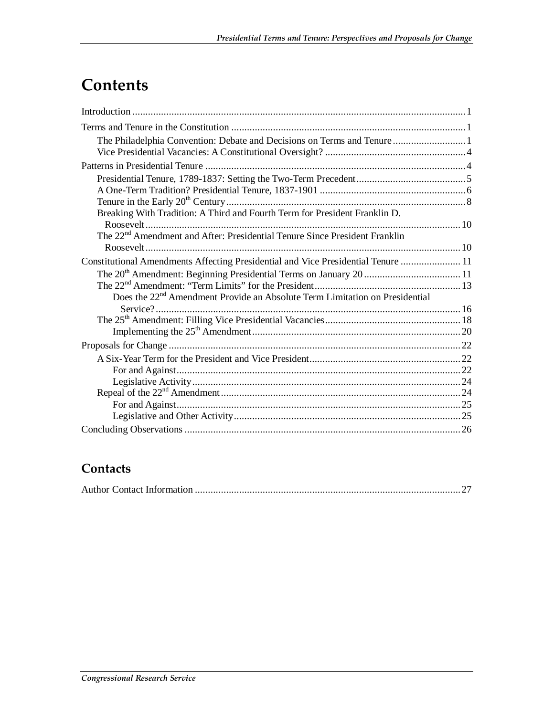# **Contents**

| The Philadelphia Convention: Debate and Decisions on Terms and Tenure  1                |  |
|-----------------------------------------------------------------------------------------|--|
|                                                                                         |  |
|                                                                                         |  |
|                                                                                         |  |
|                                                                                         |  |
|                                                                                         |  |
| Breaking With Tradition: A Third and Fourth Term for President Franklin D.              |  |
|                                                                                         |  |
| The 22 <sup>nd</sup> Amendment and After: Presidential Tenure Since President Franklin  |  |
|                                                                                         |  |
| Constitutional Amendments Affecting Presidential and Vice Presidential Tenure  11       |  |
|                                                                                         |  |
|                                                                                         |  |
| Does the 22 <sup>nd</sup> Amendment Provide an Absolute Term Limitation on Presidential |  |
|                                                                                         |  |
|                                                                                         |  |
|                                                                                         |  |
|                                                                                         |  |
|                                                                                         |  |
|                                                                                         |  |
|                                                                                         |  |
|                                                                                         |  |
|                                                                                         |  |
|                                                                                         |  |
|                                                                                         |  |

## **Contacts**

|--|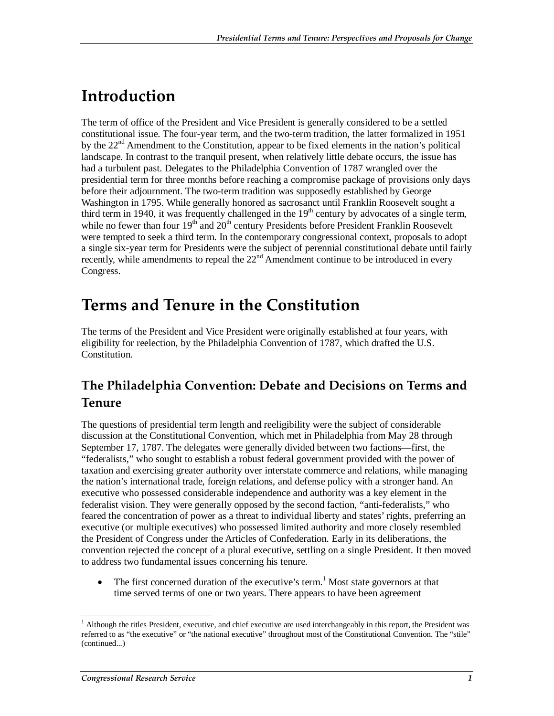# **Introduction**

The term of office of the President and Vice President is generally considered to be a settled constitutional issue. The four-year term, and the two-term tradition, the latter formalized in 1951 by the 22<sup>nd</sup> Amendment to the Constitution, appear to be fixed elements in the nation's political landscape. In contrast to the tranquil present, when relatively little debate occurs, the issue has had a turbulent past. Delegates to the Philadelphia Convention of 1787 wrangled over the presidential term for three months before reaching a compromise package of provisions only days before their adjournment. The two-term tradition was supposedly established by George Washington in 1795. While generally honored as sacrosanct until Franklin Roosevelt sought a third term in 1940, it was frequently challenged in the  $19<sup>th</sup>$  century by advocates of a single term, while no fewer than four  $19<sup>th</sup>$  and  $20<sup>th</sup>$  century Presidents before President Franklin Roosevelt were tempted to seek a third term. In the contemporary congressional context, proposals to adopt a single six-year term for Presidents were the subject of perennial constitutional debate until fairly recently, while amendments to repeal the  $22<sup>nd</sup>$  Amendment continue to be introduced in every Congress.

## **Terms and Tenure in the Constitution**

The terms of the President and Vice President were originally established at four years, with eligibility for reelection, by the Philadelphia Convention of 1787, which drafted the U.S. Constitution.

## **The Philadelphia Convention: Debate and Decisions on Terms and Tenure**

The questions of presidential term length and reeligibility were the subject of considerable discussion at the Constitutional Convention, which met in Philadelphia from May 28 through September 17, 1787. The delegates were generally divided between two factions—first, the "federalists," who sought to establish a robust federal government provided with the power of taxation and exercising greater authority over interstate commerce and relations, while managing the nation's international trade, foreign relations, and defense policy with a stronger hand. An executive who possessed considerable independence and authority was a key element in the federalist vision. They were generally opposed by the second faction, "anti-federalists," who feared the concentration of power as a threat to individual liberty and states' rights, preferring an executive (or multiple executives) who possessed limited authority and more closely resembled the President of Congress under the Articles of Confederation. Early in its deliberations, the convention rejected the concept of a plural executive, settling on a single President. It then moved to address two fundamental issues concerning his tenure.

• The first concerned duration of the executive's term.<sup>1</sup> Most state governors at that time served terms of one or two years. There appears to have been agreement

<sup>-</sup><sup>1</sup> Although the titles President, executive, and chief executive are used interchangeably in this report, the President was referred to as "the executive" or "the national executive" throughout most of the Constitutional Convention. The "stile" (continued...)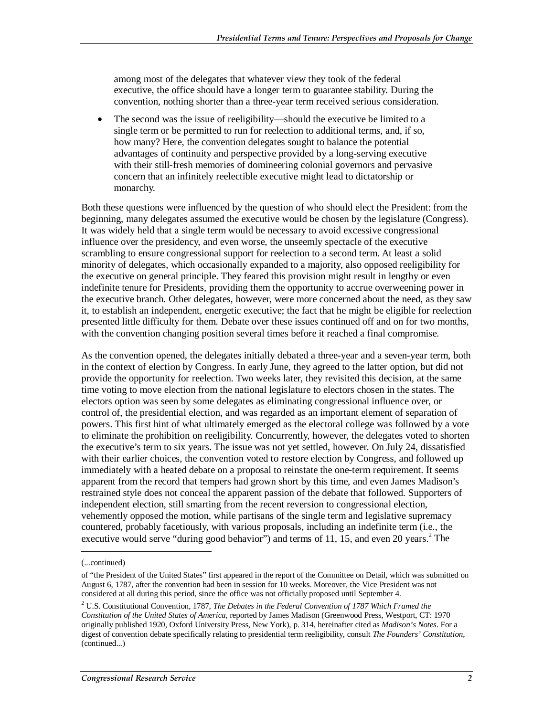among most of the delegates that whatever view they took of the federal executive, the office should have a longer term to guarantee stability. During the convention, nothing shorter than a three-year term received serious consideration.

• The second was the issue of reeligibility—should the executive be limited to a single term or be permitted to run for reelection to additional terms, and, if so, how many? Here, the convention delegates sought to balance the potential advantages of continuity and perspective provided by a long-serving executive with their still-fresh memories of domineering colonial governors and pervasive concern that an infinitely reelectible executive might lead to dictatorship or monarchy.

Both these questions were influenced by the question of who should elect the President: from the beginning, many delegates assumed the executive would be chosen by the legislature (Congress). It was widely held that a single term would be necessary to avoid excessive congressional influence over the presidency, and even worse, the unseemly spectacle of the executive scrambling to ensure congressional support for reelection to a second term. At least a solid minority of delegates, which occasionally expanded to a majority, also opposed reeligibility for the executive on general principle. They feared this provision might result in lengthy or even indefinite tenure for Presidents, providing them the opportunity to accrue overweening power in the executive branch. Other delegates, however, were more concerned about the need, as they saw it, to establish an independent, energetic executive; the fact that he might be eligible for reelection presented little difficulty for them. Debate over these issues continued off and on for two months, with the convention changing position several times before it reached a final compromise.

As the convention opened, the delegates initially debated a three-year and a seven-year term, both in the context of election by Congress. In early June, they agreed to the latter option, but did not provide the opportunity for reelection. Two weeks later, they revisited this decision, at the same time voting to move election from the national legislature to electors chosen in the states. The electors option was seen by some delegates as eliminating congressional influence over, or control of, the presidential election, and was regarded as an important element of separation of powers. This first hint of what ultimately emerged as the electoral college was followed by a vote to eliminate the prohibition on reeligibility. Concurrently, however, the delegates voted to shorten the executive's term to six years. The issue was not yet settled, however. On July 24, dissatisfied with their earlier choices, the convention voted to restore election by Congress, and followed up immediately with a heated debate on a proposal to reinstate the one-term requirement. It seems apparent from the record that tempers had grown short by this time, and even James Madison's restrained style does not conceal the apparent passion of the debate that followed. Supporters of independent election, still smarting from the recent reversion to congressional election, vehemently opposed the motion, while partisans of the single term and legislative supremacy countered, probably facetiously, with various proposals, including an indefinite term (i.e., the executive would serve "during good behavior") and terms of 11, 15, and even 20 years.<sup>2</sup> The

<u>.</u>

<sup>(...</sup>continued)

of "the President of the United States" first appeared in the report of the Committee on Detail, which was submitted on August 6, 1787, after the convention had been in session for 10 weeks. Moreover, the Vice President was not considered at all during this period, since the office was not officially proposed until September 4.

<sup>2</sup> U.S. Constitutional Convention, 1787, *The Debates in the Federal Convention of 1787 Which Framed the Constitution of the United States of America*, reported by James Madison (Greenwood Press, Westport, CT: 1970 originally published 1920, Oxford University Press, New York), p. 314, hereinafter cited as *Madison's Notes*. For a digest of convention debate specifically relating to presidential term reeligibility, consult *The Founders' Constitution*, (continued...)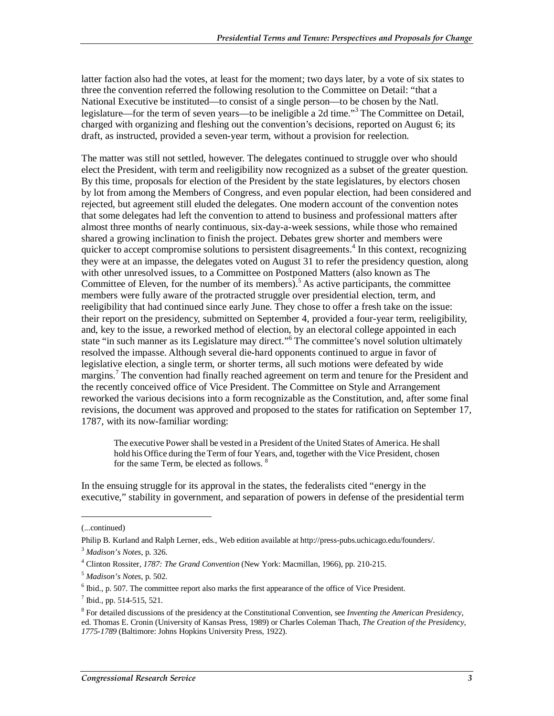latter faction also had the votes, at least for the moment; two days later, by a vote of six states to three the convention referred the following resolution to the Committee on Detail: "that a National Executive be instituted—to consist of a single person—to be chosen by the Natl. legislature—for the term of seven years—to be ineligible a 2d time."<sup>3</sup> The Committee on Detail, charged with organizing and fleshing out the convention's decisions, reported on August 6; its draft, as instructed, provided a seven-year term, without a provision for reelection.

The matter was still not settled, however. The delegates continued to struggle over who should elect the President, with term and reeligibility now recognized as a subset of the greater question. By this time, proposals for election of the President by the state legislatures, by electors chosen by lot from among the Members of Congress, and even popular election, had been considered and rejected, but agreement still eluded the delegates. One modern account of the convention notes that some delegates had left the convention to attend to business and professional matters after almost three months of nearly continuous, six-day-a-week sessions, while those who remained shared a growing inclination to finish the project. Debates grew shorter and members were quicker to accept compromise solutions to persistent disagreements.<sup>4</sup> In this context, recognizing they were at an impasse, the delegates voted on August 31 to refer the presidency question, along with other unresolved issues, to a Committee on Postponed Matters (also known as The Committee of Eleven, for the number of its members).<sup>5</sup> As active participants, the committee members were fully aware of the protracted struggle over presidential election, term, and reeligibility that had continued since early June. They chose to offer a fresh take on the issue: their report on the presidency, submitted on September 4, provided a four-year term, reeligibility, and, key to the issue, a reworked method of election, by an electoral college appointed in each state "in such manner as its Legislature may direct."<sup>6</sup> The committee's novel solution ultimately resolved the impasse. Although several die-hard opponents continued to argue in favor of legislative election, a single term, or shorter terms, all such motions were defeated by wide margins.<sup>7</sup> The convention had finally reached agreement on term and tenure for the President and the recently conceived office of Vice President. The Committee on Style and Arrangement reworked the various decisions into a form recognizable as the Constitution, and, after some final revisions, the document was approved and proposed to the states for ratification on September 17, 1787, with its now-familiar wording:

The executive Power shall be vested in a President of the United States of America. He shall hold his Office during the Term of four Years, and, together with the Vice President, chosen for the same Term, be elected as follows. 8

In the ensuing struggle for its approval in the states, the federalists cited "energy in the executive," stability in government, and separation of powers in defense of the presidential term

1

<sup>(...</sup>continued)

Philip B. Kurland and Ralph Lerner, eds., Web edition available at http://press-pubs.uchicago.edu/founders/. <sup>3</sup> *Madison's Notes*, p. 326.

<sup>4</sup> Clinton Rossiter, *1787: The Grand Convention* (New York: Macmillan, 1966), pp. 210-215.

<sup>5</sup> *Madison's Notes*, p. 502. 6

 $<sup>6</sup>$  Ibid., p. 507. The committee report also marks the first appearance of the office of Vice President.</sup>

<sup>7</sup> Ibid., pp. 514-515, 521.

<sup>8</sup> For detailed discussions of the presidency at the Constitutional Convention, see *Inventing the American Presidency*, ed. Thomas E. Cronin (University of Kansas Press, 1989) or Charles Coleman Thach, *The Creation of the Presidency, 1775-1789* (Baltimore: Johns Hopkins University Press, 1922).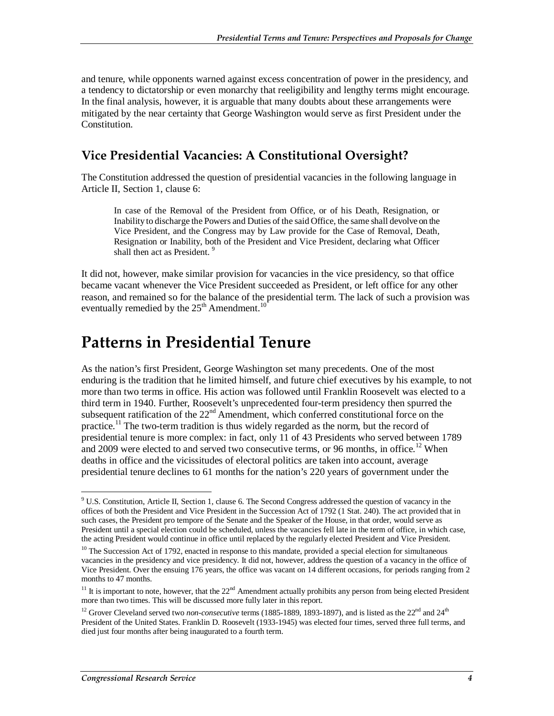and tenure, while opponents warned against excess concentration of power in the presidency, and a tendency to dictatorship or even monarchy that reeligibility and lengthy terms might encourage. In the final analysis, however, it is arguable that many doubts about these arrangements were mitigated by the near certainty that George Washington would serve as first President under the Constitution.

## **Vice Presidential Vacancies: A Constitutional Oversight?**

The Constitution addressed the question of presidential vacancies in the following language in Article II, Section 1, clause 6:

In case of the Removal of the President from Office, or of his Death, Resignation, or Inability to discharge the Powers and Duties of the said Office, the same shall devolve on the Vice President, and the Congress may by Law provide for the Case of Removal, Death, Resignation or Inability, both of the President and Vice President, declaring what Officer shall then act as President.<sup>9</sup>

It did not, however, make similar provision for vacancies in the vice presidency, so that office became vacant whenever the Vice President succeeded as President, or left office for any other reason, and remained so for the balance of the presidential term. The lack of such a provision was eventually remedied by the  $25<sup>th</sup>$  Amendment.<sup>10</sup>

## **Patterns in Presidential Tenure**

As the nation's first President, George Washington set many precedents. One of the most enduring is the tradition that he limited himself, and future chief executives by his example, to not more than two terms in office. His action was followed until Franklin Roosevelt was elected to a third term in 1940. Further, Roosevelt's unprecedented four-term presidency then spurred the subsequent ratification of the  $22<sup>nd</sup>$  Amendment, which conferred constitutional force on the practice.<sup>11</sup> The two-term tradition is thus widely regarded as the norm, but the record of presidential tenure is more complex: in fact, only 11 of 43 Presidents who served between 1789 and 2009 were elected to and served two consecutive terms, or 96 months, in office.<sup>12</sup> When deaths in office and the vicissitudes of electoral politics are taken into account, average presidential tenure declines to 61 months for the nation's 220 years of government under the

<sup>-</sup><sup>9</sup> U.S. Constitution, Article II, Section 1, clause 6. The Second Congress addressed the question of vacancy in the offices of both the President and Vice President in the Succession Act of 1792 (1 Stat. 240). The act provided that in such cases, the President pro tempore of the Senate and the Speaker of the House, in that order, would serve as President until a special election could be scheduled, unless the vacancies fell late in the term of office, in which case, the acting President would continue in office until replaced by the regularly elected President and Vice President.

 $10$  The Succession Act of 1792, enacted in response to this mandate, provided a special election for simultaneous vacancies in the presidency and vice presidency. It did not, however, address the question of a vacancy in the office of Vice President. Over the ensuing 176 years, the office was vacant on 14 different occasions, for periods ranging from 2 months to 47 months.

 $11$  It is important to note, however, that the  $22<sup>nd</sup>$  Amendment actually prohibits any person from being elected President more than two times. This will be discussed more fully later in this report.

<sup>&</sup>lt;sup>12</sup> Grover Cleveland served two *non-consecutive* terms (1885-1889, 1893-1897), and is listed as the 22<sup>nd</sup> and 24<sup>th</sup> President of the United States. Franklin D. Roosevelt (1933-1945) was elected four times, served three full terms, and died just four months after being inaugurated to a fourth term.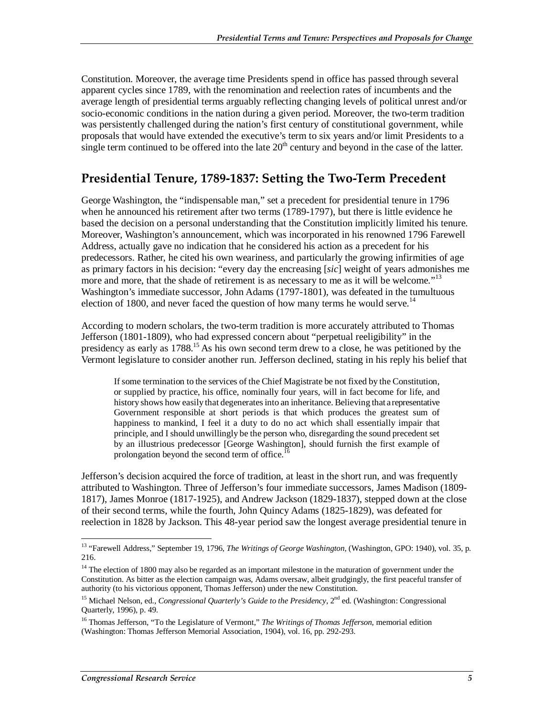Constitution. Moreover, the average time Presidents spend in office has passed through several apparent cycles since 1789, with the renomination and reelection rates of incumbents and the average length of presidential terms arguably reflecting changing levels of political unrest and/or socio-economic conditions in the nation during a given period. Moreover, the two-term tradition was persistently challenged during the nation's first century of constitutional government, while proposals that would have extended the executive's term to six years and/or limit Presidents to a single term continued to be offered into the late  $20<sup>th</sup>$  century and beyond in the case of the latter.

### **Presidential Tenure, 1789-1837: Setting the Two-Term Precedent**

George Washington, the "indispensable man," set a precedent for presidential tenure in 1796 when he announced his retirement after two terms (1789-1797), but there is little evidence he based the decision on a personal understanding that the Constitution implicitly limited his tenure. Moreover, Washington's announcement, which was incorporated in his renowned 1796 Farewell Address, actually gave no indication that he considered his action as a precedent for his predecessors. Rather, he cited his own weariness, and particularly the growing infirmities of age as primary factors in his decision: "every day the encreasing [*sic*] weight of years admonishes me more and more, that the shade of retirement is as necessary to me as it will be welcome."<sup>13</sup> Washington's immediate successor, John Adams (1797-1801), was defeated in the tumultuous election of 1800, and never faced the question of how many terms he would serve.<sup>14</sup>

According to modern scholars, the two-term tradition is more accurately attributed to Thomas Jefferson (1801-1809), who had expressed concern about "perpetual reeligibility" in the presidency as early as 1788.<sup>15</sup> As his own second term drew to a close, he was petitioned by the Vermont legislature to consider another run. Jefferson declined, stating in his reply his belief that

If some termination to the services of the Chief Magistrate be not fixed by the Constitution, or supplied by practice, his office, nominally four years, will in fact become for life, and history shows how easily that degenerates into an inheritance. Believing that a representative Government responsible at short periods is that which produces the greatest sum of happiness to mankind, I feel it a duty to do no act which shall essentially impair that principle, and I should unwillingly be the person who, disregarding the sound precedent set by an illustrious predecessor [George Washington], should furnish the first example of prolongation beyond the second term of office.<sup>1</sup>

Jefferson's decision acquired the force of tradition, at least in the short run, and was frequently attributed to Washington. Three of Jefferson's four immediate successors, James Madison (1809- 1817), James Monroe (1817-1925), and Andrew Jackson (1829-1837), stepped down at the close of their second terms, while the fourth, John Quincy Adams (1825-1829), was defeated for reelection in 1828 by Jackson. This 48-year period saw the longest average presidential tenure in

-

<sup>&</sup>lt;sup>13</sup> "Farewell Address," September 19, 1796, *The Writings of George Washington*, (Washington, GPO: 1940), vol. 35, p. 216.

<sup>&</sup>lt;sup>14</sup> The election of 1800 may also be regarded as an important milestone in the maturation of government under the Constitution. As bitter as the election campaign was, Adams oversaw, albeit grudgingly, the first peaceful transfer of authority (to his victorious opponent, Thomas Jefferson) under the new Constitution.

<sup>&</sup>lt;sup>15</sup> Michael Nelson, ed., *Congressional Quarterly's Guide to the Presidency*, 2<sup>nd</sup> ed. (Washington: Congressional Quarterly, 1996), p. 49.

<sup>16</sup> Thomas Jefferson, "To the Legislature of Vermont," *The Writings of Thomas Jefferson*, memorial edition (Washington: Thomas Jefferson Memorial Association, 1904), vol. 16, pp. 292-293.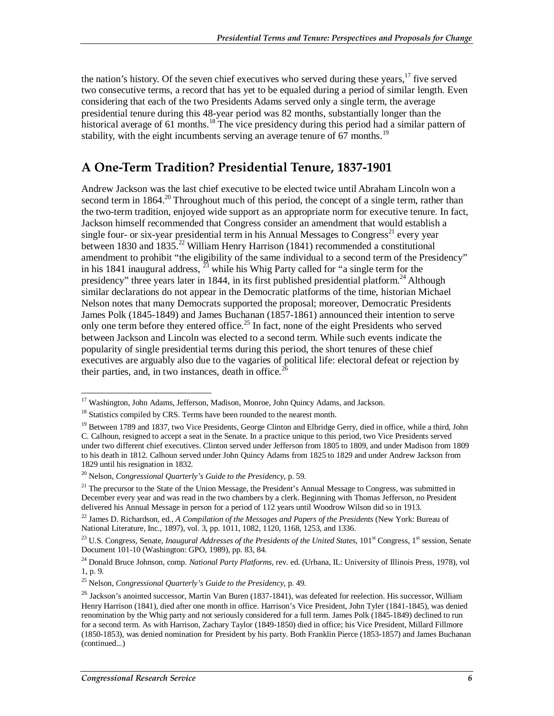the nation's history. Of the seven chief executives who served during these years,  $17$  five served two consecutive terms, a record that has yet to be equaled during a period of similar length. Even considering that each of the two Presidents Adams served only a single term, the average presidential tenure during this 48-year period was 82 months, substantially longer than the historical average of 61 months.<sup>18</sup> The vice presidency during this period had a similar pattern of stability, with the eight incumbents serving an average tenure of  $67$  months.<sup>19</sup>

### **A One-Term Tradition? Presidential Tenure, 1837-1901**

Andrew Jackson was the last chief executive to be elected twice until Abraham Lincoln won a second term in  $1864$ <sup>20</sup> Throughout much of this period, the concept of a single term, rather than the two-term tradition, enjoyed wide support as an appropriate norm for executive tenure. In fact, Jackson himself recommended that Congress consider an amendment that would establish a single four- or six-year presidential term in his Annual Messages to Congress<sup>21</sup> every year between 1830 and 1835.<sup>22</sup> William Henry Harrison (1841) recommended a constitutional amendment to prohibit "the eligibility of the same individual to a second term of the Presidency" in his 1841 inaugural address,  $^{23}$  while his Whig Party called for "a single term for the presidency" three years later in 1844, in its first published presidential platform.<sup>24</sup> Although similar declarations do not appear in the Democratic platforms of the time, historian Michael Nelson notes that many Democrats supported the proposal; moreover, Democratic Presidents James Polk (1845-1849) and James Buchanan (1857-1861) announced their intention to serve only one term before they entered office.<sup>25</sup> In fact, none of the eight Presidents who served between Jackson and Lincoln was elected to a second term. While such events indicate the popularity of single presidential terms during this period, the short tenures of these chief executives are arguably also due to the vagaries of political life: electoral defeat or rejection by their parties, and, in two instances, death in office.  $26$ 

<sup>-</sup><sup>17</sup> Washington, John Adams, Jefferson, Madison, Monroe, John Quincy Adams, and Jackson.

<sup>&</sup>lt;sup>18</sup> Statistics compiled by CRS. Terms have been rounded to the nearest month.

<sup>&</sup>lt;sup>19</sup> Between 1789 and 1837, two Vice Presidents, George Clinton and Elbridge Gerry, died in office, while a third, John C. Calhoun, resigned to accept a seat in the Senate. In a practice unique to this period, two Vice Presidents served under two different chief executives. Clinton served under Jefferson from 1805 to 1809, and under Madison from 1809 to his death in 1812. Calhoun served under John Quincy Adams from 1825 to 1829 and under Andrew Jackson from 1829 until his resignation in 1832.

<sup>20</sup> Nelson, *Congressional Quarterly's Guide to the Presidency*, p. 59.

<sup>&</sup>lt;sup>21</sup> The precursor to the State of the Union Message, the President's Annual Message to Congress, was submitted in December every year and was read in the two chambers by a clerk. Beginning with Thomas Jefferson, no President delivered his Annual Message in person for a period of 112 years until Woodrow Wilson did so in 1913.

<sup>22</sup> James D. Richardson, ed., *A Compilation of the Messages and Papers of the Presidents* (New York: Bureau of National Literature, Inc., 1897), vol. 3, pp. 1011, 1082, 1120, 1168, 1253, and 1336.

<sup>&</sup>lt;sup>23</sup> U.S. Congress, Senate, *Inaugural Addresses of the Presidents of the United States*, 101<sup>st</sup> Congress, 1<sup>st</sup> session, Senate Document 101-10 (Washington: GPO, 1989), pp. 83, 84.

<sup>24</sup> Donald Bruce Johnson, comp. *National Party Platforms*, rev. ed. (Urbana, IL: University of Illinois Press, 1978), vol 1, p. 9.

<sup>25</sup> Nelson, *Congressional Quarterly's Guide to the Presidency*, p. 49.

<sup>&</sup>lt;sup>26</sup> Jackson's anointed successor, Martin Van Buren (1837-1841), was defeated for reelection. His successor, William Henry Harrison (1841), died after one month in office. Harrison's Vice President, John Tyler (1841-1845), was denied renomination by the Whig party and not seriously considered for a full term. James Polk (1845-1849) declined to run for a second term. As with Harrison, Zachary Taylor (1849-1850) died in office; his Vice President, Millard Fillmore (1850-1853), was denied nomination for President by his party. Both Franklin Pierce (1853-1857) and James Buchanan (continued...)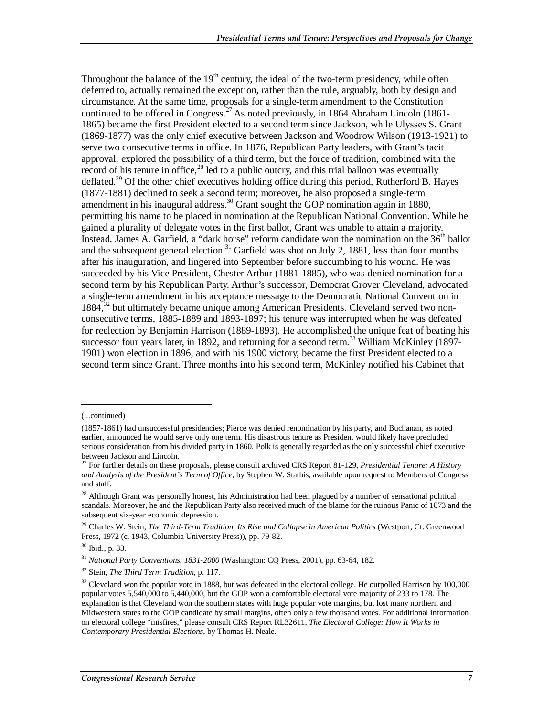Throughout the balance of the  $19<sup>th</sup>$  century, the ideal of the two-term presidency, while often deferred to, actually remained the exception, rather than the rule, arguably, both by design and circumstance. At the same time, proposals for a single-term amendment to the Constitution continued to be offered in Congress.<sup>27</sup> As noted previously, in 1864 Abraham Lincoln (1861-1865) became the first President elected to a second term since Jackson, while Ulysses S. Grant (1869-1877) was the only chief executive between Jackson and Woodrow Wilson (1913-1921) to serve two consecutive terms in office. In 1876, Republican Party leaders, with Grant's tacit approval, explored the possibility of a third term, but the force of tradition, combined with the record of his tenure in office, $^{28}$  led to a public outcry, and this trial balloon was eventually deflated.<sup>29</sup> Of the other chief executives holding office during this period, Rutherford B. Hayes (1877-1881) declined to seek a second term; moreover, he also proposed a single-term amendment in his inaugural address.<sup>30</sup> Grant sought the GOP nomination again in 1880, permitting his name to be placed in nomination at the Republican National Convention. While he gained a plurality of delegate votes in the first ballot, Grant was unable to attain a majority. Instead, James A. Garfield, a "dark horse" reform candidate won the nomination on the  $36<sup>th</sup>$  ballot and the subsequent general election.<sup>31</sup> Garfield was shot on July 2, 1881, less than four months after his inauguration, and lingered into September before succumbing to his wound. He was succeeded by his Vice President, Chester Arthur (1881-1885), who was denied nomination for a second term by his Republican Party. Arthur's successor, Democrat Grover Cleveland, advocated a single-term amendment in his acceptance message to the Democratic National Convention in 1884,<sup>32</sup> but ultimately became unique among American Presidents. Cleveland served two nonconsecutive terms, 1885-1889 and 1893-1897; his tenure was interrupted when he was defeated for reelection by Benjamin Harrison (1889-1893). He accomplished the unique feat of beating his successor four years later, in 1892, and returning for a second term.<sup>33</sup> William McKinley (1897-1901) won election in 1896, and with his 1900 victory, became the first President elected to a second term since Grant. Three months into his second term, McKinley notified his Cabinet that

1

<sup>(...</sup>continued)

<sup>(1857-1861)</sup> had unsuccessful presidencies; Pierce was denied renomination by his party, and Buchanan, as noted earlier, announced he would serve only one term. His disastrous tenure as President would likely have precluded serious consideration from his divided party in 1860. Polk is generally regarded as the only successful chief executive between Jackson and Lincoln.

<sup>27</sup> For further details on these proposals, please consult archived CRS Report 81-129, *Presidential Tenure: A History and Analysis of the President's Term of Office*, by Stephen W. Stathis, available upon request to Members of Congress and staff.

 $28$  Although Grant was personally honest, his Administration had been plagued by a number of sensational political scandals. Moreover, he and the Republican Party also received much of the blame for the ruinous Panic of 1873 and the subsequent six-year economic depression.

<sup>29</sup> Charles W. Stein, *The Third-Term Tradition, Its Rise and Collapse in American Politics* (Westport, Ct: Greenwood Press, 1972 (c. 1943, Columbia University Press)), pp. 79-82.

<sup>30</sup> Ibid., p. 83.

<sup>31</sup> *National Party Conventions*, *1831-2000* (Washington: CQ Press, 2001), pp. 63-64, 182.

<sup>32</sup> Stein, *The Third Term Tradition*, p. 117.

 $33$  Cleveland won the popular vote in 1888, but was defeated in the electoral college. He outpolled Harrison by 100,000 popular votes 5,540,000 to 5,440,000, but the GOP won a comfortable electoral vote majority of 233 to 178. The explanation is that Cleveland won the southern states with huge popular vote margins, but lost many northern and Midwestern states to the GOP candidate by small margins, often only a few thousand votes. For additional information on electoral college "misfires," please consult CRS Report RL32611, *The Electoral College: How It Works in Contemporary Presidential Elections*, by Thomas H. Neale.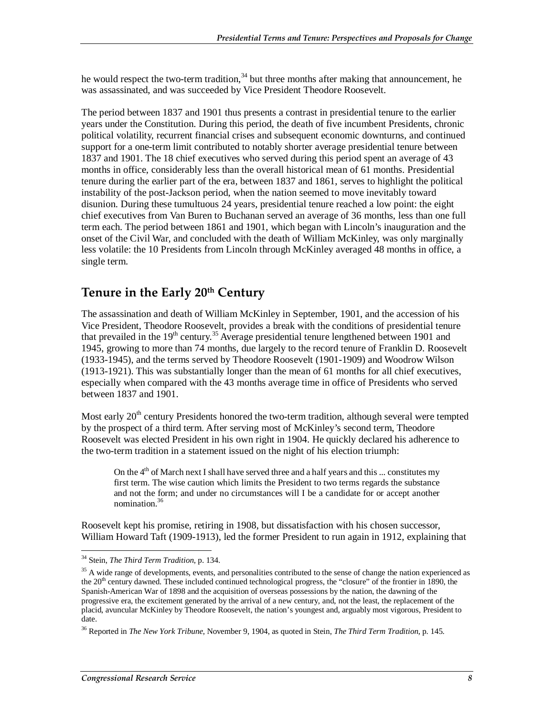he would respect the two-term tradition,  $34$  but three months after making that announcement, he was assassinated, and was succeeded by Vice President Theodore Roosevelt.

The period between 1837 and 1901 thus presents a contrast in presidential tenure to the earlier years under the Constitution. During this period, the death of five incumbent Presidents, chronic political volatility, recurrent financial crises and subsequent economic downturns, and continued support for a one-term limit contributed to notably shorter average presidential tenure between 1837 and 1901. The 18 chief executives who served during this period spent an average of 43 months in office, considerably less than the overall historical mean of 61 months. Presidential tenure during the earlier part of the era, between 1837 and 1861, serves to highlight the political instability of the post-Jackson period, when the nation seemed to move inevitably toward disunion. During these tumultuous 24 years, presidential tenure reached a low point: the eight chief executives from Van Buren to Buchanan served an average of 36 months, less than one full term each. The period between 1861 and 1901, which began with Lincoln's inauguration and the onset of the Civil War, and concluded with the death of William McKinley, was only marginally less volatile: the 10 Presidents from Lincoln through McKinley averaged 48 months in office, a single term.

### **Tenure in the Early 20th Century**

The assassination and death of William McKinley in September, 1901, and the accession of his Vice President, Theodore Roosevelt, provides a break with the conditions of presidential tenure that prevailed in the 19<sup>th</sup> century.<sup>35</sup> Average presidential tenure lengthened between 1901 and 1945, growing to more than 74 months, due largely to the record tenure of Franklin D. Roosevelt (1933-1945), and the terms served by Theodore Roosevelt (1901-1909) and Woodrow Wilson (1913-1921). This was substantially longer than the mean of 61 months for all chief executives, especially when compared with the 43 months average time in office of Presidents who served between 1837 and 1901.

Most early  $20<sup>th</sup>$  century Presidents honored the two-term tradition, although several were tempted by the prospect of a third term. After serving most of McKinley's second term, Theodore Roosevelt was elected President in his own right in 1904. He quickly declared his adherence to the two-term tradition in a statement issued on the night of his election triumph:

On the  $4<sup>th</sup>$  of March next I shall have served three and a half years and this ... constitutes my first term. The wise caution which limits the President to two terms regards the substance and not the form; and under no circumstances will I be a candidate for or accept another nomination.36

Roosevelt kept his promise, retiring in 1908, but dissatisfaction with his chosen successor, William Howard Taft (1909-1913), led the former President to run again in 1912, explaining that

<sup>&</sup>lt;u>.</u> 34 Stein, *The Third Term Tradition*, p. 134.

<sup>&</sup>lt;sup>35</sup> A wide range of developments, events, and personalities contributed to the sense of change the nation experienced as the 20<sup>th</sup> century dawned. These included continued technological progress, the "closure" of the frontier in 1890, the Spanish-American War of 1898 and the acquisition of overseas possessions by the nation, the dawning of the progressive era, the excitement generated by the arrival of a new century, and, not the least, the replacement of the placid, avuncular McKinley by Theodore Roosevelt, the nation's youngest and, arguably most vigorous, President to date.

<sup>36</sup> Reported in *The New York Tribune*, November 9, 1904, as quoted in Stein, *The Third Term Tradition*, p. 145.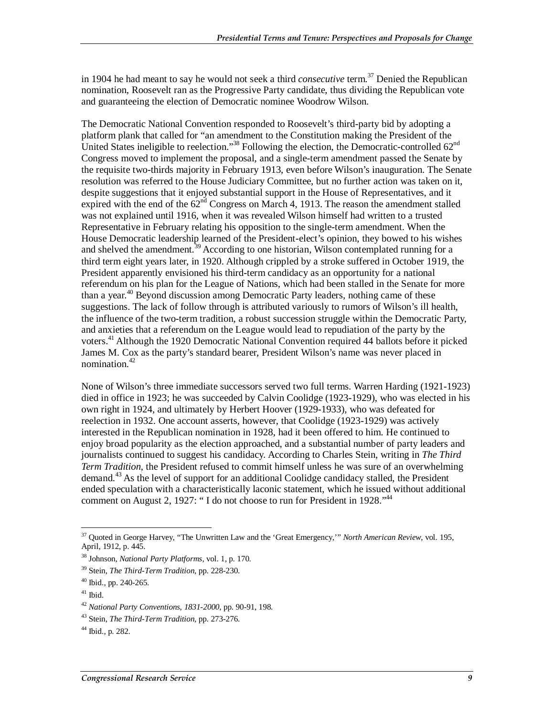in 1904 he had meant to say he would not seek a third *consecutive* term.<sup>37</sup> Denied the Republican nomination, Roosevelt ran as the Progressive Party candidate, thus dividing the Republican vote and guaranteeing the election of Democratic nominee Woodrow Wilson.

The Democratic National Convention responded to Roosevelt's third-party bid by adopting a platform plank that called for "an amendment to the Constitution making the President of the United States ineligible to reelection."<sup>38</sup> Following the election, the Democratic-controlled  $62<sup>nd</sup>$ Congress moved to implement the proposal, and a single-term amendment passed the Senate by the requisite two-thirds majority in February 1913, even before Wilson's inauguration. The Senate resolution was referred to the House Judiciary Committee, but no further action was taken on it, despite suggestions that it enjoyed substantial support in the House of Representatives, and it expired with the end of the  $62<sup>nd</sup>$  Congress on March 4, 1913. The reason the amendment stalled was not explained until 1916, when it was revealed Wilson himself had written to a trusted Representative in February relating his opposition to the single-term amendment. When the House Democratic leadership learned of the President-elect's opinion, they bowed to his wishes and shelved the amendment.<sup>39</sup> According to one historian, Wilson contemplated running for a third term eight years later, in 1920. Although crippled by a stroke suffered in October 1919, the President apparently envisioned his third-term candidacy as an opportunity for a national referendum on his plan for the League of Nations, which had been stalled in the Senate for more than a year.<sup>40</sup> Beyond discussion among Democratic Party leaders, nothing came of these suggestions. The lack of follow through is attributed variously to rumors of Wilson's ill health, the influence of the two-term tradition, a robust succession struggle within the Democratic Party, and anxieties that a referendum on the League would lead to repudiation of the party by the voters.41 Although the 1920 Democratic National Convention required 44 ballots before it picked James M. Cox as the party's standard bearer, President Wilson's name was never placed in nomination.<sup>42</sup>

None of Wilson's three immediate successors served two full terms. Warren Harding (1921-1923) died in office in 1923; he was succeeded by Calvin Coolidge (1923-1929), who was elected in his own right in 1924, and ultimately by Herbert Hoover (1929-1933), who was defeated for reelection in 1932. One account asserts, however, that Coolidge (1923-1929) was actively interested in the Republican nomination in 1928, had it been offered to him. He continued to enjoy broad popularity as the election approached, and a substantial number of party leaders and journalists continued to suggest his candidacy. According to Charles Stein, writing in *The Third Term Tradition*, the President refused to commit himself unless he was sure of an overwhelming demand.<sup>43</sup> As the level of support for an additional Coolidge candidacy stalled, the President ended speculation with a characteristically laconic statement, which he issued without additional comment on August 2, 1927: "I do not choose to run for President in 1928."<sup>44</sup>

<sup>-</sup>37 Quoted in George Harvey, "The Unwritten Law and the 'Great Emergency,'" *North American Review*, vol. 195, April, 1912, p. 445.

<sup>38</sup> Johnson, *National Party Platforms*, vol. 1, p. 170.

<sup>39</sup> Stein, *The Third-Term Tradition*, pp. 228-230. 40 Ibid., pp. 240-265.

 $41$  Ibid.

<sup>42</sup> *National Party Conventions*, *1831-2000*, pp. 90-91, 198.

<sup>43</sup> Stein, *The Third-Term Tradition*, pp. 273-276.

 $44$  Ibid., p. 282.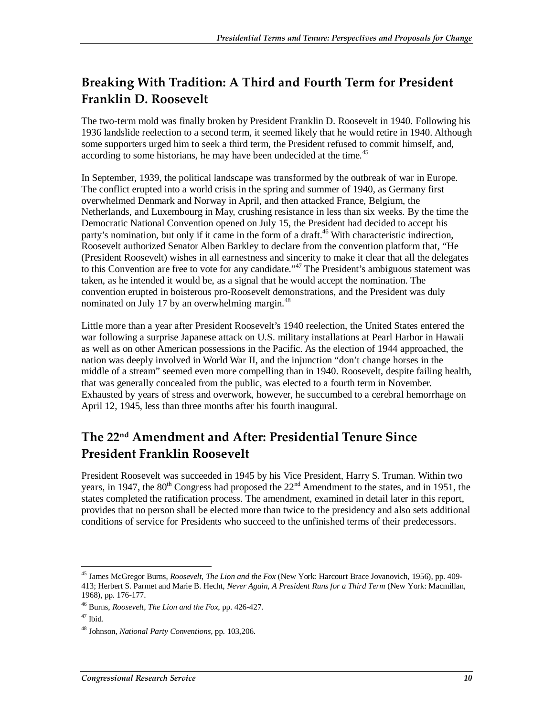## **Breaking With Tradition: A Third and Fourth Term for President Franklin D. Roosevelt**

The two-term mold was finally broken by President Franklin D. Roosevelt in 1940. Following his 1936 landslide reelection to a second term, it seemed likely that he would retire in 1940. Although some supporters urged him to seek a third term, the President refused to commit himself, and, according to some historians, he may have been undecided at the time.<sup> $45$ </sup>

In September, 1939, the political landscape was transformed by the outbreak of war in Europe. The conflict erupted into a world crisis in the spring and summer of 1940, as Germany first overwhelmed Denmark and Norway in April, and then attacked France, Belgium, the Netherlands, and Luxembourg in May, crushing resistance in less than six weeks. By the time the Democratic National Convention opened on July 15, the President had decided to accept his party's nomination, but only if it came in the form of a draft.<sup>46</sup> With characteristic indirection, Roosevelt authorized Senator Alben Barkley to declare from the convention platform that, "He (President Roosevelt) wishes in all earnestness and sincerity to make it clear that all the delegates to this Convention are free to vote for any candidate.<sup>"47</sup> The President's ambiguous statement was taken, as he intended it would be, as a signal that he would accept the nomination. The convention erupted in boisterous pro-Roosevelt demonstrations, and the President was duly nominated on July 17 by an overwhelming margin.<sup>48</sup>

Little more than a year after President Roosevelt's 1940 reelection, the United States entered the war following a surprise Japanese attack on U.S. military installations at Pearl Harbor in Hawaii as well as on other American possessions in the Pacific. As the election of 1944 approached, the nation was deeply involved in World War II, and the injunction "don't change horses in the middle of a stream" seemed even more compelling than in 1940. Roosevelt, despite failing health, that was generally concealed from the public, was elected to a fourth term in November. Exhausted by years of stress and overwork, however, he succumbed to a cerebral hemorrhage on April 12, 1945, less than three months after his fourth inaugural.

## **The 22nd Amendment and After: Presidential Tenure Since President Franklin Roosevelt**

President Roosevelt was succeeded in 1945 by his Vice President, Harry S. Truman. Within two years, in 1947, the 80<sup>th</sup> Congress had proposed the 22<sup>nd</sup> Amendment to the states, and in 1951, the states completed the ratification process. The amendment, examined in detail later in this report, provides that no person shall be elected more than twice to the presidency and also sets additional conditions of service for Presidents who succeed to the unfinished terms of their predecessors.

<sup>-</sup>45 James McGregor Burns, *Roosevelt, The Lion and the Fox* (New York: Harcourt Brace Jovanovich, 1956), pp. 409- 413; Herbert S. Parmet and Marie B. Hecht, *Never Again, A President Runs for a Third Term* (New York: Macmillan, 1968), pp. 176-177.

<sup>46</sup> Burns, *Roosevelt, The Lion and the Fox*, pp. 426-427.

 $47$  Ibid.

<sup>48</sup> Johnson, *National Party Conventions*, pp. 103,206.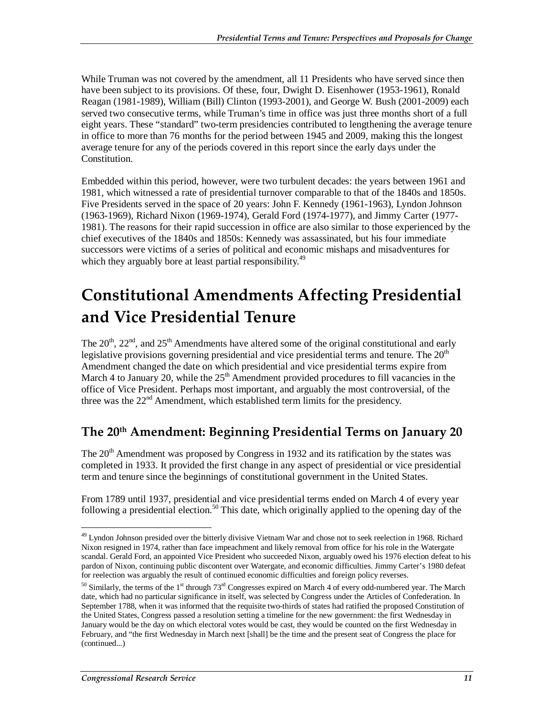While Truman was not covered by the amendment, all 11 Presidents who have served since then have been subject to its provisions. Of these, four, Dwight D. Eisenhower (1953-1961), Ronald Reagan (1981-1989), William (Bill) Clinton (1993-2001), and George W. Bush (2001-2009) each served two consecutive terms, while Truman's time in office was just three months short of a full eight years. These "standard" two-term presidencies contributed to lengthening the average tenure in office to more than 76 months for the period between 1945 and 2009, making this the longest average tenure for any of the periods covered in this report since the early days under the Constitution.

Embedded within this period, however, were two turbulent decades: the years between 1961 and 1981, which witnessed a rate of presidential turnover comparable to that of the 1840s and 1850s. Five Presidents served in the space of 20 years: John F. Kennedy (1961-1963), Lyndon Johnson (1963-1969), Richard Nixon (1969-1974), Gerald Ford (1974-1977), and Jimmy Carter (1977- 1981). The reasons for their rapid succession in office are also similar to those experienced by the chief executives of the 1840s and 1850s: Kennedy was assassinated, but his four immediate successors were victims of a series of political and economic mishaps and misadventures for which they arguably bore at least partial responsibility.<sup>49</sup>

# **Constitutional Amendments Affecting Presidential and Vice Presidential Tenure**

The  $20<sup>th</sup>$ ,  $22<sup>nd</sup>$ , and  $25<sup>th</sup>$  Amendments have altered some of the original constitutional and early legislative provisions governing presidential and vice presidential terms and tenure. The  $20<sup>th</sup>$ Amendment changed the date on which presidential and vice presidential terms expire from March 4 to January 20, while the  $25<sup>th</sup>$  Amendment provided procedures to fill vacancies in the office of Vice President. Perhaps most important, and arguably the most controversial, of the three was the  $22<sup>nd</sup>$  Amendment, which established term limits for the presidency.

## **The 20th Amendment: Beginning Presidential Terms on January 20**

The  $20<sup>th</sup>$  Amendment was proposed by Congress in 1932 and its ratification by the states was completed in 1933. It provided the first change in any aspect of presidential or vice presidential term and tenure since the beginnings of constitutional government in the United States.

From 1789 until 1937, presidential and vice presidential terms ended on March 4 of every year following a presidential election.<sup>50</sup> This date, which originally applied to the opening day of the

<sup>-</sup><sup>49</sup> Lyndon Johnson presided over the bitterly divisive Vietnam War and chose not to seek reelection in 1968. Richard Nixon resigned in 1974, rather than face impeachment and likely removal from office for his role in the Watergate scandal. Gerald Ford, an appointed Vice President who succeeded Nixon, arguably owed his 1976 election defeat to his pardon of Nixon, continuing public discontent over Watergate, and economic difficulties. Jimmy Carter's 1980 defeat for reelection was arguably the result of continued economic difficulties and foreign policy reverses.

 $50$  Similarly, the terms of the 1<sup>st</sup> through 73<sup>rd</sup> Congresses expired on March 4 of every odd-numbered year. The March date, which had no particular significance in itself, was selected by Congress under the Articles of Confederation. In September 1788, when it was informed that the requisite two-thirds of states had ratified the proposed Constitution of the United States, Congress passed a resolution setting a timeline for the new government: the first Wednesday in January would be the day on which electoral votes would be cast, they would be counted on the first Wednesday in February, and "the first Wednesday in March next [shall] be the time and the present seat of Congress the place for (continued...)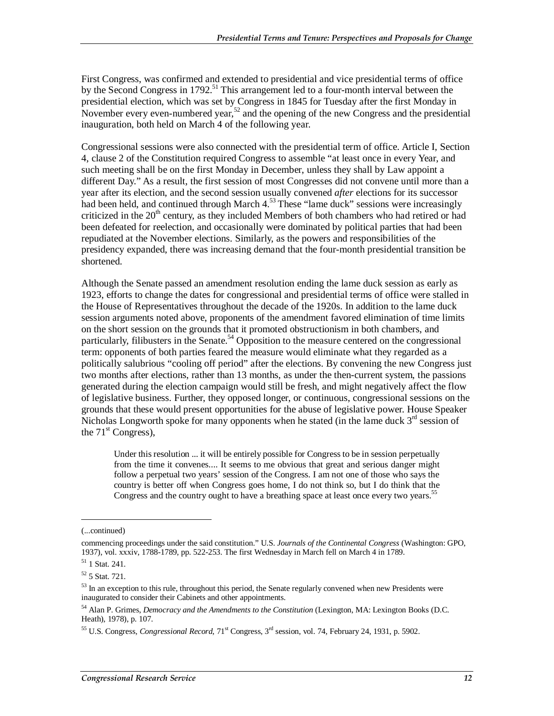First Congress, was confirmed and extended to presidential and vice presidential terms of office by the Second Congress in 1792.<sup>51</sup> This arrangement led to a four-month interval between the presidential election, which was set by Congress in 1845 for Tuesday after the first Monday in November every even-numbered year,<sup>52</sup> and the opening of the new Congress and the presidential inauguration, both held on March 4 of the following year.

Congressional sessions were also connected with the presidential term of office. Article I, Section 4, clause 2 of the Constitution required Congress to assemble "at least once in every Year, and such meeting shall be on the first Monday in December, unless they shall by Law appoint a different Day." As a result, the first session of most Congresses did not convene until more than a year after its election, and the second session usually convened *after* elections for its successor had been held, and continued through March 4.<sup>53</sup> These "lame duck" sessions were increasingly criticized in the 20<sup>th</sup> century, as they included Members of both chambers who had retired or had been defeated for reelection, and occasionally were dominated by political parties that had been repudiated at the November elections. Similarly, as the powers and responsibilities of the presidency expanded, there was increasing demand that the four-month presidential transition be shortened.

Although the Senate passed an amendment resolution ending the lame duck session as early as 1923, efforts to change the dates for congressional and presidential terms of office were stalled in the House of Representatives throughout the decade of the 1920s. In addition to the lame duck session arguments noted above, proponents of the amendment favored elimination of time limits on the short session on the grounds that it promoted obstructionism in both chambers, and particularly, filibusters in the Senate.<sup>54</sup> Opposition to the measure centered on the congressional term: opponents of both parties feared the measure would eliminate what they regarded as a politically salubrious "cooling off period" after the elections. By convening the new Congress just two months after elections, rather than 13 months, as under the then-current system, the passions generated during the election campaign would still be fresh, and might negatively affect the flow of legislative business. Further, they opposed longer, or continuous, congressional sessions on the grounds that these would present opportunities for the abuse of legislative power. House Speaker Nicholas Longworth spoke for many opponents when he stated (in the lame duck  $3<sup>rd</sup>$  session of the  $71<sup>st</sup> Congress$ ,

Under this resolution ... it will be entirely possible for Congress to be in session perpetually from the time it convenes.... It seems to me obvious that great and serious danger might follow a perpetual two years' session of the Congress. I am not one of those who says the country is better off when Congress goes home, I do not think so, but I do think that the Congress and the country ought to have a breathing space at least once every two years.<sup>55</sup>

1

<sup>(...</sup>continued)

commencing proceedings under the said constitution." U.S. *Journals of the Continental Congress* (Washington: GPO, 1937), vol. xxxiv, 1788-1789, pp. 522-253. The first Wednesday in March fell on March 4 in 1789.

 $51$  1 Stat. 241.

 $52$  5 Stat. 721.

 $53$  In an exception to this rule, throughout this period, the Senate regularly convened when new Presidents were inaugurated to consider their Cabinets and other appointments.

<sup>54</sup> Alan P. Grimes, *Democracy and the Amendments to the Constitution* (Lexington, MA: Lexington Books (D.C. Heath), 1978), p. 107.

<sup>55</sup> U.S. Congress, *Congressional Record*, 71st Congress, 3rd session, vol. 74, February 24, 1931, p. 5902.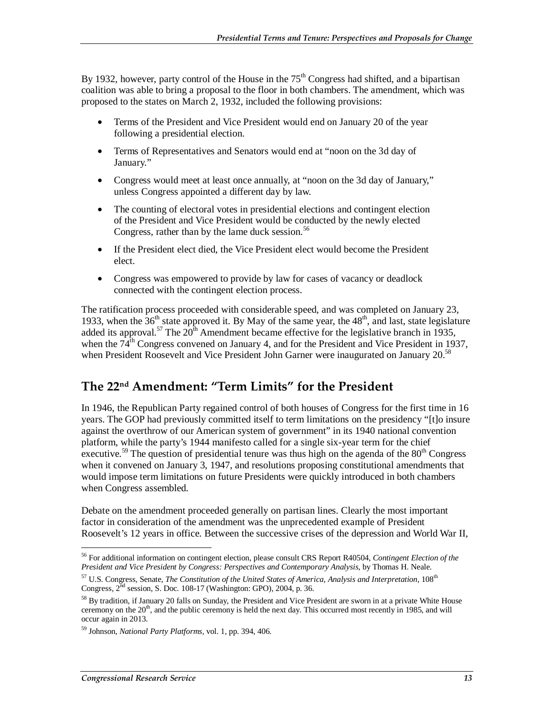By 1932, however, party control of the House in the  $75<sup>th</sup>$  Congress had shifted, and a bipartisan coalition was able to bring a proposal to the floor in both chambers. The amendment, which was proposed to the states on March 2, 1932, included the following provisions:

- Terms of the President and Vice President would end on January 20 of the year following a presidential election.
- Terms of Representatives and Senators would end at "noon on the 3d day of January."
- Congress would meet at least once annually, at "noon on the 3d day of January," unless Congress appointed a different day by law.
- The counting of electoral votes in presidential elections and contingent election of the President and Vice President would be conducted by the newly elected Congress, rather than by the lame duck session. $56$
- If the President elect died, the Vice President elect would become the President elect.
- Congress was empowered to provide by law for cases of vacancy or deadlock connected with the contingent election process.

The ratification process proceeded with considerable speed, and was completed on January 23, 1933, when the  $36<sup>th</sup>$  state approved it. By May of the same year, the  $48<sup>th</sup>$ , and last, state legislature added its approval.<sup>57</sup> The  $20<sup>th</sup>$  Amendment became effective for the legislative branch in 1935, when the  $74<sup>th</sup>$  Congress convened on January 4, and for the President and Vice President in 1937, when President Roosevelt and Vice President John Garner were inaugurated on January  $20^{58}$ 

### **The 22nd Amendment: "Term Limits" for the President**

In 1946, the Republican Party regained control of both houses of Congress for the first time in 16 years. The GOP had previously committed itself to term limitations on the presidency "[t]o insure against the overthrow of our American system of government" in its 1940 national convention platform, while the party's 1944 manifesto called for a single six-year term for the chief executive.<sup>59</sup> The question of presidential tenure was thus high on the agenda of the  $80<sup>th</sup>$  Congress when it convened on January 3, 1947, and resolutions proposing constitutional amendments that would impose term limitations on future Presidents were quickly introduced in both chambers when Congress assembled.

Debate on the amendment proceeded generally on partisan lines. Clearly the most important factor in consideration of the amendment was the unprecedented example of President Roosevelt's 12 years in office. Between the successive crises of the depression and World War II,

-

<sup>56</sup> For additional information on contingent election, please consult CRS Report R40504, *Contingent Election of the President and Vice President by Congress: Perspectives and Contemporary Analysis*, by Thomas H. Neale.

<sup>&</sup>lt;sup>57</sup> U.S. Congress, Senate, *The Constitution of the United States of America, Analysis and Interpretation*, 108<sup>th</sup> Congress,  $2^{nd}$  session, S. Doc. 108-17 (Washington: GPO), 2004, p. 36.

<sup>&</sup>lt;sup>58</sup> By tradition, if January 20 falls on Sunday, the President and Vice President are sworn in at a private White House ceremony on the 20<sup>th</sup>, and the public ceremony is held the next day. This occurred most recently in 1985, and will occur again in 2013.

<sup>59</sup> Johnson, *National Party Platforms*, vol. 1, pp. 394, 406.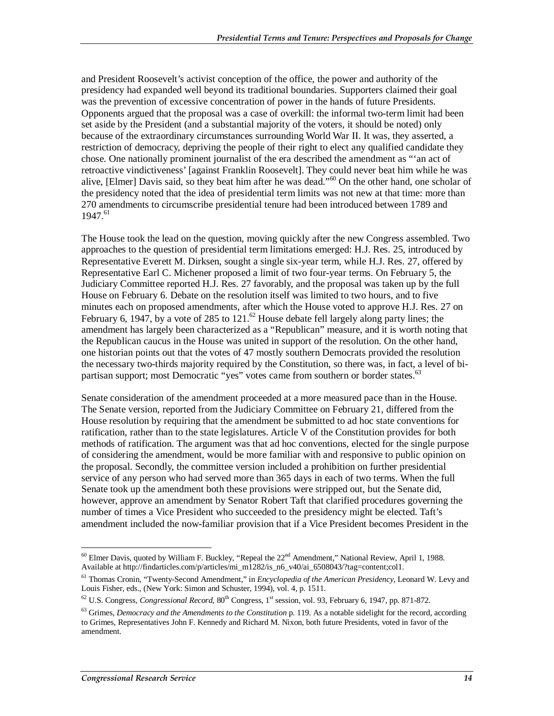and President Roosevelt's activist conception of the office, the power and authority of the presidency had expanded well beyond its traditional boundaries. Supporters claimed their goal was the prevention of excessive concentration of power in the hands of future Presidents. Opponents argued that the proposal was a case of overkill: the informal two-term limit had been set aside by the President (and a substantial majority of the voters, it should be noted) only because of the extraordinary circumstances surrounding World War II. It was, they asserted, a restriction of democracy, depriving the people of their right to elect any qualified candidate they chose. One nationally prominent journalist of the era described the amendment as "'an act of retroactive vindictiveness' [against Franklin Roosevelt]. They could never beat him while he was alive, [Elmer] Davis said, so they beat him after he was dead."60 On the other hand, one scholar of the presidency noted that the idea of presidential term limits was not new at that time: more than 270 amendments to circumscribe presidential tenure had been introduced between 1789 and  $1947^{61}$ 

The House took the lead on the question, moving quickly after the new Congress assembled. Two approaches to the question of presidential term limitations emerged: H.J. Res. 25, introduced by Representative Everett M. Dirksen, sought a single six-year term, while H.J. Res. 27, offered by Representative Earl C. Michener proposed a limit of two four-year terms. On February 5, the Judiciary Committee reported H.J. Res. 27 favorably, and the proposal was taken up by the full House on February 6. Debate on the resolution itself was limited to two hours, and to five minutes each on proposed amendments, after which the House voted to approve H.J. Res. 27 on February 6, 1947, by a vote of 285 to 121.<sup>62</sup> House debate fell largely along party lines; the amendment has largely been characterized as a "Republican" measure, and it is worth noting that the Republican caucus in the House was united in support of the resolution. On the other hand, one historian points out that the votes of 47 mostly southern Democrats provided the resolution the necessary two-thirds majority required by the Constitution, so there was, in fact, a level of bipartisan support; most Democratic "yes" votes came from southern or border states.<sup>63</sup>

Senate consideration of the amendment proceeded at a more measured pace than in the House. The Senate version, reported from the Judiciary Committee on February 21, differed from the House resolution by requiring that the amendment be submitted to ad hoc state conventions for ratification, rather than to the state legislatures. Article V of the Constitution provides for both methods of ratification. The argument was that ad hoc conventions, elected for the single purpose of considering the amendment, would be more familiar with and responsive to public opinion on the proposal. Secondly, the committee version included a prohibition on further presidential service of any person who had served more than 365 days in each of two terms. When the full Senate took up the amendment both these provisions were stripped out, but the Senate did, however, approve an amendment by Senator Robert Taft that clarified procedures governing the number of times a Vice President who succeeded to the presidency might be elected. Taft's amendment included the now-familiar provision that if a Vice President becomes President in the

<sup>-</sup> $60$  Elmer Davis, quoted by William F. Buckley, "Repeal the  $22<sup>nd</sup>$  Amendment," National Review, April 1, 1988. Available at http://findarticles.com/p/articles/mi\_m1282/is\_n6\_v40/ai\_6508043/?tag=content;col1.

<sup>61</sup> Thomas Cronin, "Twenty-Second Amendment," in *Encyclopedia of the American Presidency*, Leonard W. Levy and Louis Fisher, eds., (New York: Simon and Schuster, 1994), vol. 4, p. 1511.

 $^{62}$  U.S. Congress, *Congressional Record*,  $80^{th}$  Congress, 1<sup>st</sup> session, vol. 93, February 6, 1947, pp. 871-872.

<sup>63</sup> Grimes, *Democracy and the Amendments to the Constitution* p. 119. As a notable sidelight for the record, according to Grimes, Representatives John F. Kennedy and Richard M. Nixon, both future Presidents, voted in favor of the amendment.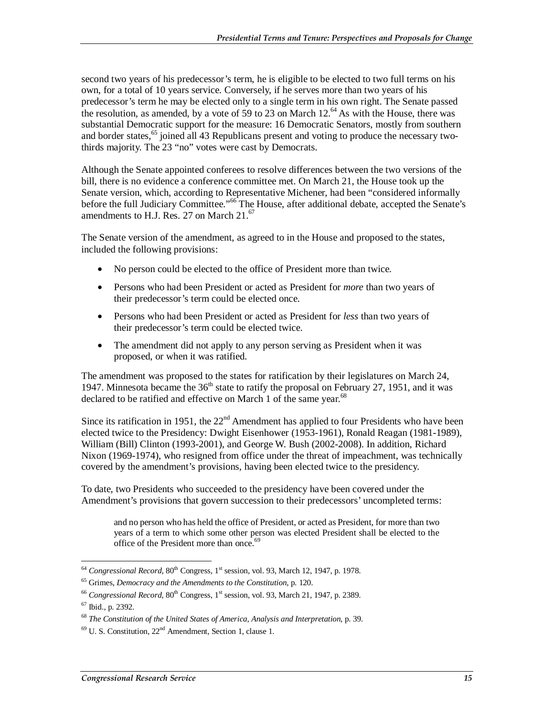second two years of his predecessor's term, he is eligible to be elected to two full terms on his own, for a total of 10 years service. Conversely, if he serves more than two years of his predecessor's term he may be elected only to a single term in his own right. The Senate passed the resolution, as amended, by a vote of 59 to 23 on March  $12.^{64}$  As with the House, there was substantial Democratic support for the measure: 16 Democratic Senators, mostly from southern and border states,  $65$  joined all 43 Republicans present and voting to produce the necessary twothirds majority. The 23 "no" votes were cast by Democrats.

Although the Senate appointed conferees to resolve differences between the two versions of the bill, there is no evidence a conference committee met. On March 21, the House took up the Senate version, which, according to Representative Michener, had been "considered informally before the full Judiciary Committee."<sup>66</sup> The House, after additional debate, accepted the Senate's amendments to H.J. Res. 27 on March  $21<sup>67</sup>$ 

The Senate version of the amendment, as agreed to in the House and proposed to the states, included the following provisions:

- No person could be elected to the office of President more than twice.
- Persons who had been President or acted as President for *more* than two years of their predecessor's term could be elected once.
- Persons who had been President or acted as President for *less* than two years of their predecessor's term could be elected twice.
- The amendment did not apply to any person serving as President when it was proposed, or when it was ratified.

The amendment was proposed to the states for ratification by their legislatures on March 24, 1947. Minnesota became the  $36<sup>th</sup>$  state to ratify the proposal on February 27, 1951, and it was declared to be ratified and effective on March 1 of the same year.<sup>68</sup>

Since its ratification in 1951, the  $22<sup>nd</sup>$  Amendment has applied to four Presidents who have been elected twice to the Presidency: Dwight Eisenhower (1953-1961), Ronald Reagan (1981-1989), William (Bill) Clinton (1993-2001), and George W. Bush (2002-2008). In addition, Richard Nixon (1969-1974), who resigned from office under the threat of impeachment, was technically covered by the amendment's provisions, having been elected twice to the presidency.

To date, two Presidents who succeeded to the presidency have been covered under the Amendment's provisions that govern succession to their predecessors' uncompleted terms:

and no person who has held the office of President, or acted as President, for more than two years of a term to which some other person was elected President shall be elected to the office of the President more than once. $69$ 

<sup>-</sup><sup>64</sup> *Congressional Record*, 80<sup>th</sup> Congress, 1<sup>st</sup> session, vol. 93, March 12, 1947, p. 1978.<br><sup>65</sup> Grimes, *Democracy and the Amendments to the Constitution*, p. 120.

<sup>&</sup>lt;sup>66</sup> Congressional Record, 80<sup>th</sup> Congress, 1<sup>st</sup> session, vol. 93, March 21, 1947, p. 2389. 67 Ibid., p. 2392.

<sup>68</sup> *The Constitution of the United States of America, Analysis and Interpretation*, p. 39.

 $69$  U. S. Constitution,  $22<sup>nd</sup>$  Amendment, Section 1, clause 1.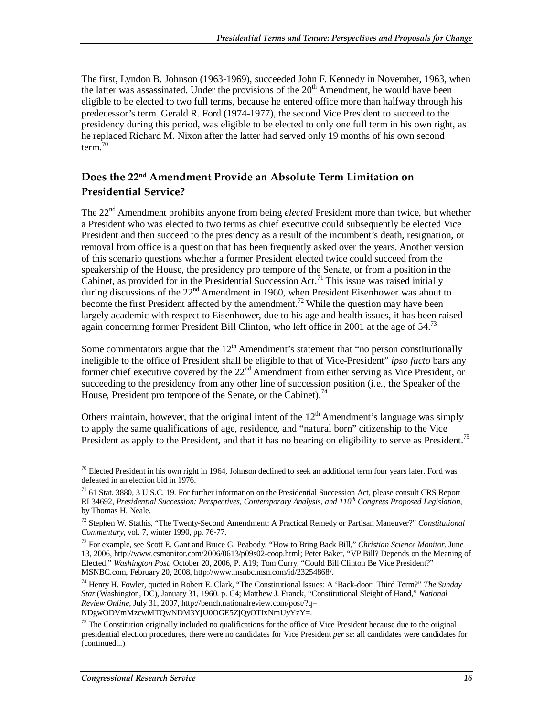The first, Lyndon B. Johnson (1963-1969), succeeded John F. Kennedy in November, 1963, when the latter was assassinated. Under the provisions of the  $20<sup>th</sup>$  Amendment, he would have been eligible to be elected to two full terms, because he entered office more than halfway through his predecessor's term. Gerald R. Ford (1974-1977), the second Vice President to succeed to the presidency during this period, was eligible to be elected to only one full term in his own right, as he replaced Richard M. Nixon after the latter had served only 19 months of his own second term. $70$ 

#### **Does the 22nd Amendment Provide an Absolute Term Limitation on Presidential Service?**

The 22nd Amendment prohibits anyone from being *elected* President more than twice, but whether a President who was elected to two terms as chief executive could subsequently be elected Vice President and then succeed to the presidency as a result of the incumbent's death, resignation, or removal from office is a question that has been frequently asked over the years. Another version of this scenario questions whether a former President elected twice could succeed from the speakership of the House, the presidency pro tempore of the Senate, or from a position in the Cabinet, as provided for in the Presidential Succession Act.<sup>71</sup> This issue was raised initially during discussions of the 22<sup>nd</sup> Amendment in 1960, when President Eisenhower was about to become the first President affected by the amendment.<sup>72</sup> While the question may have been largely academic with respect to Eisenhower, due to his age and health issues, it has been raised again concerning former President Bill Clinton, who left office in 2001 at the age of  $54$ .<sup>73</sup>

Some commentators argue that the  $12<sup>th</sup>$  Amendment's statement that "no person constitutionally ineligible to the office of President shall be eligible to that of Vice-President" *ipso facto* bars any former chief executive covered by the 22<sup>nd</sup> Amendment from either serving as Vice President, or succeeding to the presidency from any other line of succession position (i.e., the Speaker of the House, President pro tempore of the Senate, or the Cabinet).<sup>74</sup>

Others maintain, however, that the original intent of the  $12<sup>th</sup>$  Amendment's language was simply to apply the same qualifications of age, residence, and "natural born" citizenship to the Vice President as apply to the President, and that it has no bearing on eligibility to serve as President.<sup>75</sup>

<sup>-</sup> $^{70}$  Elected President in his own right in 1964, Johnson declined to seek an additional term four years later. Ford was defeated in an election bid in 1976.

 $71$  61 Stat. 3880, 3 U.S.C. 19. For further information on the Presidential Succession Act, please consult CRS Report RL34692, *Presidential Succession: Perspectives, Contemporary Analysis, and 110th Congress Proposed Legislation*, by Thomas H. Neale.

<sup>72</sup> Stephen W. Stathis, "The Twenty-Second Amendment: A Practical Remedy or Partisan Maneuver?" *Constitutional Commentary,* vol. 7, winter 1990, pp. 76-77.

<sup>73</sup> For example, see Scott E. Gant and Bruce G. Peabody, "How to Bring Back Bill," *Christian Science Monitor*, June 13, 2006, http://www.csmonitor.com/2006/0613/p09s02-coop.html; Peter Baker, "VP Bill? Depends on the Meaning of Elected," *Washington Post*, October 20, 2006, P. A19; Tom Curry, "Could Bill Clinton Be Vice President?" MSNBC.com, February 20, 2008, http://www.msnbc.msn.com/id/23254868/.

<sup>74</sup> Henry H. Fowler, quoted in Robert E. Clark, "The Constitutional Issues: A 'Back-door' Third Term?" *The Sunday Star* (Washington, DC), January 31, 1960. p. C4; Matthew J. Franck, "Constitutional Sleight of Hand," *National Review Online,* July 31, 2007, http://bench.nationalreview.com/post/?q= NDgwODVmMzcwMTQwNDM3YjU0OGE5ZjQyOTIxNmUyYzY=.

 $<sup>75</sup>$  The Constitution originally included no qualifications for the office of Vice President because due to the original</sup> presidential election procedures, there were no candidates for Vice President *per se*: all candidates were candidates for (continued...)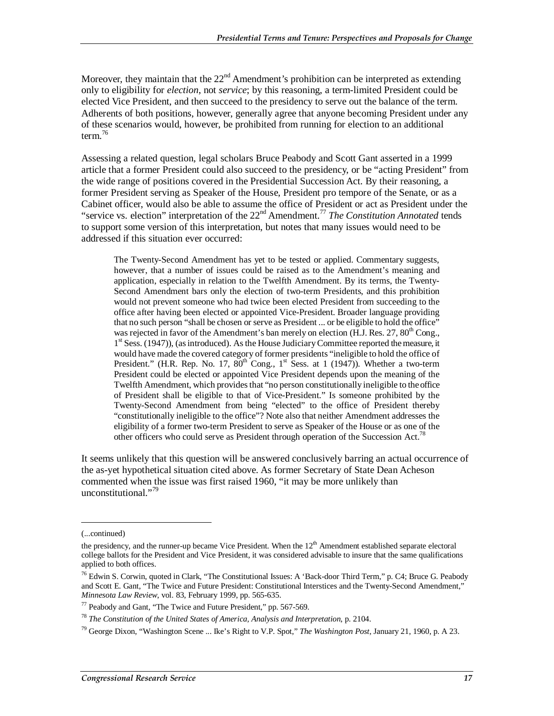Moreover, they maintain that the  $22<sup>nd</sup>$  Amendment's prohibition can be interpreted as extending only to eligibility for *election*, not *service*; by this reasoning, a term-limited President could be elected Vice President, and then succeed to the presidency to serve out the balance of the term. Adherents of both positions, however, generally agree that anyone becoming President under any of these scenarios would, however, be prohibited from running for election to an additional term.<sup>76</sup>

Assessing a related question, legal scholars Bruce Peabody and Scott Gant asserted in a 1999 article that a former President could also succeed to the presidency, or be "acting President" from the wide range of positions covered in the Presidential Succession Act. By their reasoning, a former President serving as Speaker of the House, President pro tempore of the Senate, or as a Cabinet officer, would also be able to assume the office of President or act as President under the "service vs. election" interpretation of the 22nd Amendment.77 *The Constitution Annotated* tends to support some version of this interpretation, but notes that many issues would need to be addressed if this situation ever occurred:

The Twenty-Second Amendment has yet to be tested or applied. Commentary suggests, however, that a number of issues could be raised as to the Amendment's meaning and application, especially in relation to the Twelfth Amendment. By its terms, the Twenty-Second Amendment bars only the election of two-term Presidents, and this prohibition would not prevent someone who had twice been elected President from succeeding to the office after having been elected or appointed Vice-President. Broader language providing that no such person "shall be chosen or serve as President ... or be eligible to hold the office" was rejected in favor of the Amendment's ban merely on election (H.J. Res. 27, 80<sup>th</sup> Cong.,  $1<sup>st</sup> Sess.$  (1947)), (as introduced). As the House Judiciary Committee reported the measure, it would have made the covered category of former presidents "ineligible to hold the office of President." (H.R. Rep. No. 17,  $80^{th}$  Cong., 1<sup>st</sup> Sess. at 1 (1947)). Whether a two-term President could be elected or appointed Vice President depends upon the meaning of the Twelfth Amendment, which provides that "no person constitutionally ineligible to the office of President shall be eligible to that of Vice-President." Is someone prohibited by the Twenty-Second Amendment from being "elected" to the office of President thereby "constitutionally ineligible to the office"? Note also that neither Amendment addresses the eligibility of a former two-term President to serve as Speaker of the House or as one of the other officers who could serve as President through operation of the Succession Act.<sup>78</sup>

It seems unlikely that this question will be answered conclusively barring an actual occurrence of the as-yet hypothetical situation cited above. As former Secretary of State Dean Acheson commented when the issue was first raised 1960, "it may be more unlikely than unconstitutional."<sup>79</sup>

1

<sup>(...</sup>continued)

the presidency, and the runner-up became Vice President. When the  $12<sup>th</sup>$  Amendment established separate electoral college ballots for the President and Vice President, it was considered advisable to insure that the same qualifications applied to both offices.

 $^{76}$  Edwin S. Corwin, quoted in Clark, "The Constitutional Issues: A 'Back-door Third Term," p. C4; Bruce G. Peabody and Scott E. Gant, "The Twice and Future President: Constitutional Interstices and the Twenty-Second Amendment," *Minnesota Law Review*, vol. 83, February 1999, pp. 565-635.

<sup>&</sup>lt;sup>77</sup> Peabody and Gant, "The Twice and Future President," pp. 567-569.

<sup>78</sup> *The Constitution of the United States of America, Analysis and Interpretation*, p. 2104.

<sup>79</sup> George Dixon, "Washington Scene ... Ike's Right to V.P. Spot," *The Washington Post*, January 21, 1960, p. A 23.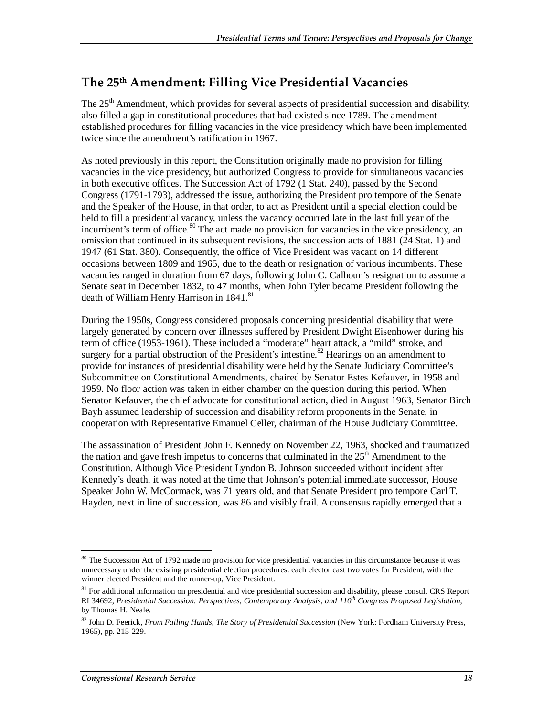## **The 25th Amendment: Filling Vice Presidential Vacancies**

The 25<sup>th</sup> Amendment, which provides for several aspects of presidential succession and disability, also filled a gap in constitutional procedures that had existed since 1789. The amendment established procedures for filling vacancies in the vice presidency which have been implemented twice since the amendment's ratification in 1967.

As noted previously in this report, the Constitution originally made no provision for filling vacancies in the vice presidency, but authorized Congress to provide for simultaneous vacancies in both executive offices. The Succession Act of 1792 (1 Stat. 240), passed by the Second Congress (1791-1793), addressed the issue, authorizing the President pro tempore of the Senate and the Speaker of the House, in that order, to act as President until a special election could be held to fill a presidential vacancy, unless the vacancy occurred late in the last full year of the incumbent's term of office.<sup>80</sup> The act made no provision for vacancies in the vice presidency, an omission that continued in its subsequent revisions, the succession acts of 1881 (24 Stat. 1) and 1947 (61 Stat. 380). Consequently, the office of Vice President was vacant on 14 different occasions between 1809 and 1965, due to the death or resignation of various incumbents. These vacancies ranged in duration from 67 days, following John C. Calhoun's resignation to assume a Senate seat in December 1832, to 47 months, when John Tyler became President following the death of William Henry Harrison in 1841.<sup>81</sup>

During the 1950s, Congress considered proposals concerning presidential disability that were largely generated by concern over illnesses suffered by President Dwight Eisenhower during his term of office (1953-1961). These included a "moderate" heart attack, a "mild" stroke, and surgery for a partial obstruction of the President's intestine.<sup>82</sup> Hearings on an amendment to provide for instances of presidential disability were held by the Senate Judiciary Committee's Subcommittee on Constitutional Amendments, chaired by Senator Estes Kefauver, in 1958 and 1959. No floor action was taken in either chamber on the question during this period. When Senator Kefauver, the chief advocate for constitutional action, died in August 1963, Senator Birch Bayh assumed leadership of succession and disability reform proponents in the Senate, in cooperation with Representative Emanuel Celler, chairman of the House Judiciary Committee.

The assassination of President John F. Kennedy on November 22, 1963, shocked and traumatized the nation and gave fresh impetus to concerns that culminated in the  $25<sup>th</sup>$  Amendment to the Constitution. Although Vice President Lyndon B. Johnson succeeded without incident after Kennedy's death, it was noted at the time that Johnson's potential immediate successor, House Speaker John W. McCormack, was 71 years old, and that Senate President pro tempore Carl T. Hayden, next in line of succession, was 86 and visibly frail. A consensus rapidly emerged that a

<sup>&</sup>lt;u>.</u> <sup>80</sup> The Succession Act of 1792 made no provision for vice presidential vacancies in this circumstance because it was unnecessary under the existing presidential election procedures: each elector cast two votes for President, with the winner elected President and the runner-up, Vice President.

<sup>&</sup>lt;sup>81</sup> For additional information on presidential and vice presidential succession and disability, please consult CRS Report RL34692, *Presidential Succession: Perspectives, Contemporary Analysis, and 110th Congress Proposed Legislation*, by Thomas H. Neale.

<sup>82</sup> John D. Feerick, *From Failing Hands, The Story of Presidential Succession* (New York: Fordham University Press, 1965), pp. 215-229.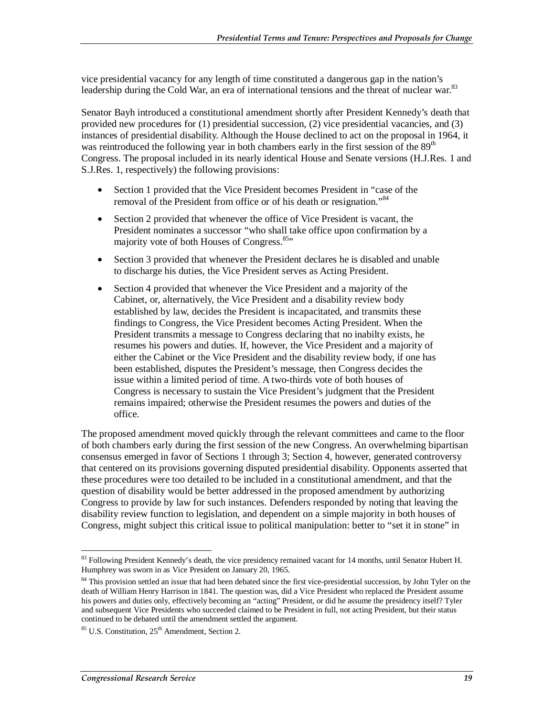vice presidential vacancy for any length of time constituted a dangerous gap in the nation's leadership during the Cold War, an era of international tensions and the threat of nuclear war.<sup>83</sup>

Senator Bayh introduced a constitutional amendment shortly after President Kennedy's death that provided new procedures for (1) presidential succession, (2) vice presidential vacancies, and (3) instances of presidential disability. Although the House declined to act on the proposal in 1964, it was reintroduced the following year in both chambers early in the first session of the  $89<sup>th</sup>$ Congress. The proposal included in its nearly identical House and Senate versions (H.J.Res. 1 and S.J.Res. 1, respectively) the following provisions:

- Section 1 provided that the Vice President becomes President in "case of the removal of the President from office or of his death or resignation."<sup>84</sup>
- Section 2 provided that whenever the office of Vice President is vacant, the President nominates a successor "who shall take office upon confirmation by a majority vote of both Houses of Congress.<sup>85</sup>"
- Section 3 provided that whenever the President declares he is disabled and unable to discharge his duties, the Vice President serves as Acting President.
- Section 4 provided that whenever the Vice President and a majority of the Cabinet, or, alternatively, the Vice President and a disability review body established by law, decides the President is incapacitated, and transmits these findings to Congress, the Vice President becomes Acting President. When the President transmits a message to Congress declaring that no inabilty exists, he resumes his powers and duties. If, however, the Vice President and a majority of either the Cabinet or the Vice President and the disability review body, if one has been established, disputes the President's message, then Congress decides the issue within a limited period of time. A two-thirds vote of both houses of Congress is necessary to sustain the Vice President's judgment that the President remains impaired; otherwise the President resumes the powers and duties of the office.

The proposed amendment moved quickly through the relevant committees and came to the floor of both chambers early during the first session of the new Congress. An overwhelming bipartisan consensus emerged in favor of Sections 1 through 3; Section 4, however, generated controversy that centered on its provisions governing disputed presidential disability. Opponents asserted that these procedures were too detailed to be included in a constitutional amendment, and that the question of disability would be better addressed in the proposed amendment by authorizing Congress to provide by law for such instances. Defenders responded by noting that leaving the disability review function to legislation, and dependent on a simple majority in both houses of Congress, might subject this critical issue to political manipulation: better to "set it in stone" in

<sup>&</sup>lt;u>.</u> <sup>83</sup> Following President Kennedy's death, the vice presidency remained vacant for 14 months, until Senator Hubert H. Humphrey was sworn in as Vice President on January 20, 1965.

<sup>&</sup>lt;sup>84</sup> This provision settled an issue that had been debated since the first vice-presidential succession, by John Tyler on the death of William Henry Harrison in 1841. The question was, did a Vice President who replaced the President assume his powers and duties only, effectively becoming an "acting" President, or did he assume the presidency itself? Tyler and subsequent Vice Presidents who succeeded claimed to be President in full, not acting President, but their status continued to be debated until the amendment settled the argument.

 $85$  U.S. Constitution,  $25<sup>th</sup>$  Amendment, Section 2.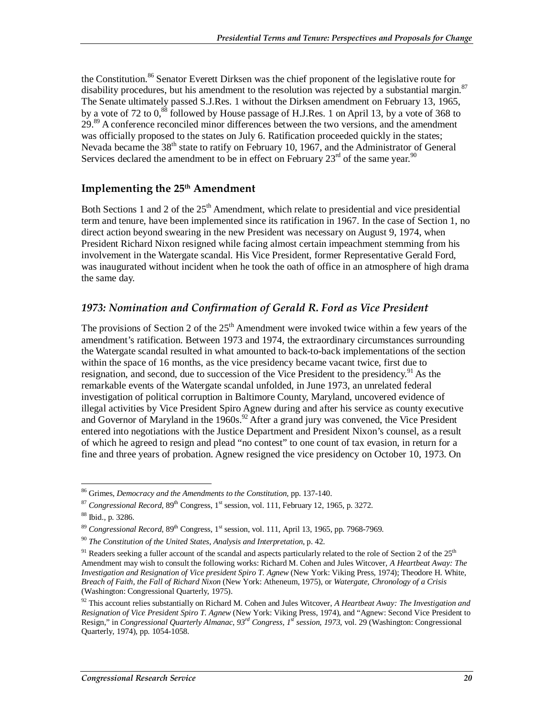the Constitution.<sup>86</sup> Senator Everett Dirksen was the chief proponent of the legislative route for disability procedures, but his amendment to the resolution was rejected by a substantial margin.<sup>87</sup> The Senate ultimately passed S.J.Res. 1 without the Dirksen amendment on February 13, 1965, by a vote of 72 to  $0$ ,<sup>88</sup> followed by House passage of H.J.Res. 1 on April 13, by a vote of 368 to 29.<sup>89</sup> A conference reconciled minor differences between the two versions, and the amendment was officially proposed to the states on July 6. Ratification proceeded quickly in the states; Nevada became the  $38<sup>th</sup>$  state to ratify on February 10, 1967, and the Administrator of General Services declared the amendment to be in effect on February  $23<sup>rd</sup>$  of the same year.<sup>90</sup>

#### Implementing the 25<sup>th</sup> Amendment

Both Sections 1 and 2 of the  $25<sup>th</sup>$  Amendment, which relate to presidential and vice presidential term and tenure, have been implemented since its ratification in 1967. In the case of Section 1, no direct action beyond swearing in the new President was necessary on August 9, 1974, when President Richard Nixon resigned while facing almost certain impeachment stemming from his involvement in the Watergate scandal. His Vice President, former Representative Gerald Ford, was inaugurated without incident when he took the oath of office in an atmosphere of high drama the same day.

#### *1973: Nomination and Confirmation of Gerald R. Ford as Vice President*

The provisions of Section 2 of the  $25<sup>th</sup>$  Amendment were invoked twice within a few years of the amendment's ratification. Between 1973 and 1974, the extraordinary circumstances surrounding the Watergate scandal resulted in what amounted to back-to-back implementations of the section within the space of 16 months, as the vice presidency became vacant twice, first due to resignation, and second, due to succession of the Vice President to the presidency. <sup>91</sup> As the remarkable events of the Watergate scandal unfolded, in June 1973, an unrelated federal investigation of political corruption in Baltimore County, Maryland, uncovered evidence of illegal activities by Vice President Spiro Agnew during and after his service as county executive and Governor of Maryland in the  $1960s$ .<sup>92</sup> After a grand jury was convened, the Vice President entered into negotiations with the Justice Department and President Nixon's counsel, as a result of which he agreed to resign and plead "no contest" to one count of tax evasion, in return for a fine and three years of probation. Agnew resigned the vice presidency on October 10, 1973. On

<sup>&</sup>lt;u>.</u> 86 Grimes, *Democracy and the Amendments to the Constitution*, pp. 137-140.

 $87$  *Congressional Record*,  $89<sup>th</sup>$  Congress, 1<sup>st</sup> session, vol. 111, February 12, 1965, p. 3272.

<sup>88</sup> Ibid., p. 3286.

 $89$  *Congressional Record*,  $89<sup>th</sup>$  Congress, 1<sup>st</sup> session, vol. 111, April 13, 1965, pp. 7968-7969.

<sup>90</sup> *The Constitution of the United States, Analysis and Interpretation*, p. 42.

 $91$  Readers seeking a fuller account of the scandal and aspects particularly related to the role of Section 2 of the  $25<sup>th</sup>$ Amendment may wish to consult the following works: Richard M. Cohen and Jules Witcover, *A Heartbeat Away: The Investigation and Resignation of Vice president Spiro T. Agnew* (New York: Viking Press, 1974); Theodore H. White, *Breach of Faith, the Fall of Richard Nixon* (New York: Atheneum, 1975), or *Watergate, Chronology of a Crisis* (Washington: Congressional Quarterly, 1975).

<sup>92</sup> This account relies substantially on Richard M. Cohen and Jules Witcover, *A Heartbeat Away: The Investigation and Resignation of Vice President Spiro T. Agnew* (New York: Viking Press, 1974), and "Agnew: Second Vice President to Resign," in *Congressional Quarterly Almanac, 93rd Congress, 1st session, 1973*, vol. 29 (Washington: Congressional Quarterly, 1974), pp. 1054-1058.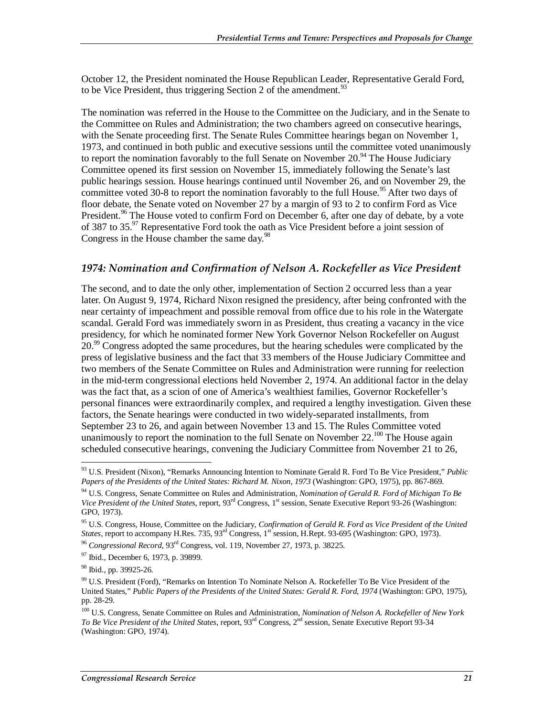October 12, the President nominated the House Republican Leader, Representative Gerald Ford, to be Vice President, thus triggering Section 2 of the amendment.<sup>93</sup>

The nomination was referred in the House to the Committee on the Judiciary, and in the Senate to the Committee on Rules and Administration; the two chambers agreed on consecutive hearings, with the Senate proceeding first. The Senate Rules Committee hearings began on November 1, 1973, and continued in both public and executive sessions until the committee voted unanimously to report the nomination favorably to the full Senate on November 20.<sup>94</sup> The House Judiciary Committee opened its first session on November 15, immediately following the Senate's last public hearings session. House hearings continued until November 26, and on November 29, the committee voted 30-8 to report the nomination favorably to the full House.<sup>95</sup> After two days of floor debate, the Senate voted on November 27 by a margin of 93 to 2 to confirm Ford as Vice President.<sup>96</sup> The House voted to confirm Ford on December 6, after one day of debate, by a vote of 387 to 35.<sup>97</sup> Representative Ford took the oath as Vice President before a joint session of Congress in the House chamber the same day.<sup>98</sup>

#### 1974: Nomination and Confirmation of Nelson A. Rockefeller as Vice President

The second, and to date the only other, implementation of Section 2 occurred less than a year later. On August 9, 1974, Richard Nixon resigned the presidency, after being confronted with the near certainty of impeachment and possible removal from office due to his role in the Watergate scandal. Gerald Ford was immediately sworn in as President, thus creating a vacancy in the vice presidency, for which he nominated former New York Governor Nelson Rockefeller on August 20.<sup>99</sup> Congress adopted the same procedures, but the hearing schedules were complicated by the press of legislative business and the fact that 33 members of the House Judiciary Committee and two members of the Senate Committee on Rules and Administration were running for reelection in the mid-term congressional elections held November 2, 1974. An additional factor in the delay was the fact that, as a scion of one of America's wealthiest families, Governor Rockefeller's personal finances were extraordinarily complex, and required a lengthy investigation. Given these factors, the Senate hearings were conducted in two widely-separated installments, from September 23 to 26, and again between November 13 and 15. The Rules Committee voted unanimously to report the nomination to the full Senate on November  $22.^{100}$  The House again scheduled consecutive hearings, convening the Judiciary Committee from November 21 to 26,

<sup>-</sup>93 U.S. President (Nixon), "Remarks Announcing Intention to Nominate Gerald R. Ford To Be Vice President," *Public Papers of the Presidents of the United States: Richard M. Nixon, 1973* (Washington: GPO, 1975), pp. 867-869.

<sup>94</sup> U.S. Congress, Senate Committee on Rules and Administration, *Nomination of Gerald R. Ford of Michigan To Be Vice President of the United States*, report, 93rd Congress, 1st session, Senate Executive Report 93-26 (Washington: GPO, 1973).

<sup>95</sup> U.S. Congress, House, Committee on the Judiciary, *Confirmation of Gerald R. Ford as Vice President of the United States*, report to accompany H.Res. 735, 93<sup>rd</sup> Congress, 1<sup>st</sup> session, H.Rept. 93-695 (Washington: GPO, 1973).

<sup>96</sup> *Congressional Record*, 93rd Congress, vol. 119, November 27, 1973, p. 38225.

<sup>97</sup> Ibid., December 6, 1973, p. 39899.

<sup>&</sup>lt;sup>98</sup> Ibid., pp. 39925-26.

<sup>99</sup> U.S. President (Ford), "Remarks on Intention To Nominate Nelson A. Rockefeller To Be Vice President of the United States," *Public Papers of the Presidents of the United States: Gerald R. Ford, 1974* (Washington: GPO, 1975), pp. 28-29.

<sup>100</sup> U.S. Congress, Senate Committee on Rules and Administration, *Nomination of Nelson A. Rockefeller of New York To Be Vice President of the United States*, report, 93rd Congress, 2nd session, Senate Executive Report 93-34 (Washington: GPO, 1974).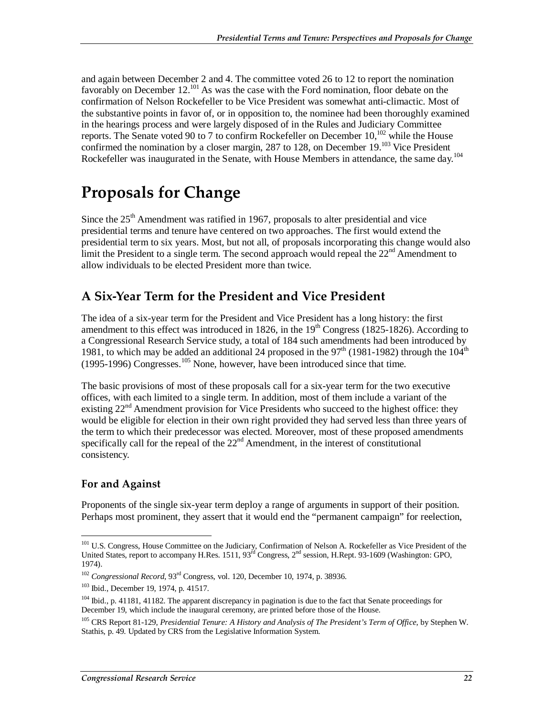and again between December 2 and 4. The committee voted 26 to 12 to report the nomination favorably on December  $12^{101}$  As was the case with the Ford nomination, floor debate on the confirmation of Nelson Rockefeller to be Vice President was somewhat anti-climactic. Most of the substantive points in favor of, or in opposition to, the nominee had been thoroughly examined in the hearings process and were largely disposed of in the Rules and Judiciary Committee reports. The Senate voted 90 to 7 to confirm Rockefeller on December  $10^{102}$  while the House confirmed the nomination by a closer margin, 287 to 128, on December 19.<sup>103</sup> Vice President Rockefeller was inaugurated in the Senate, with House Members in attendance, the same day.<sup>104</sup>

# **Proposals for Change**

Since the  $25<sup>th</sup>$  Amendment was ratified in 1967, proposals to alter presidential and vice presidential terms and tenure have centered on two approaches. The first would extend the presidential term to six years. Most, but not all, of proposals incorporating this change would also limit the President to a single term. The second approach would repeal the  $22<sup>nd</sup>$  Amendment to allow individuals to be elected President more than twice.

### **A Six-Year Term for the President and Vice President**

The idea of a six-year term for the President and Vice President has a long history: the first amendment to this effect was introduced in 1826, in the  $19<sup>th</sup>$  Congress (1825-1826). According to a Congressional Research Service study, a total of 184 such amendments had been introduced by 1981, to which may be added an additional 24 proposed in the  $97<sup>th</sup>$  (1981-1982) through the  $104<sup>th</sup>$  $(1995-1996)$  Congresses.<sup>105</sup> None, however, have been introduced since that time.

The basic provisions of most of these proposals call for a six-year term for the two executive offices, with each limited to a single term. In addition, most of them include a variant of the existing  $22<sup>nd</sup>$  Amendment provision for Vice Presidents who succeed to the highest office: they would be eligible for election in their own right provided they had served less than three years of the term to which their predecessor was elected. Moreover, most of these proposed amendments specifically call for the repeal of the  $22<sup>nd</sup>$  Amendment, in the interest of constitutional consistency.

#### **For and Against**

Proponents of the single six-year term deploy a range of arguments in support of their position. Perhaps most prominent, they assert that it would end the "permanent campaign" for reelection,

<sup>-</sup><sup>101</sup> U.S. Congress, House Committee on the Judiciary, Confirmation of Nelson A. Rockefeller as Vice President of the United States, report to accompany H.Res. 1511, 93<sup>rd</sup> Congress, 2<sup>nd</sup> session, H.Rept. 93-1609 (Washington: GPO, 1974).

<sup>&</sup>lt;sup>102</sup> *Congressional Record*, 93<sup>rd</sup> Congress, vol. 120, December 10, 1974, p. 38936.<br><sup>103</sup> Ibid., December 19, 1974, p. 41517.

<sup>&</sup>lt;sup>104</sup> Ibid., p. 41181, 41182. The apparent discrepancy in pagination is due to the fact that Senate proceedings for December 19, which include the inaugural ceremony, are printed before those of the House.

<sup>105</sup> CRS Report 81-129, *Presidential Tenure: A History and Analysis of The President's Term of Office*, by Stephen W. Stathis, p. 49. Updated by CRS from the Legislative Information System.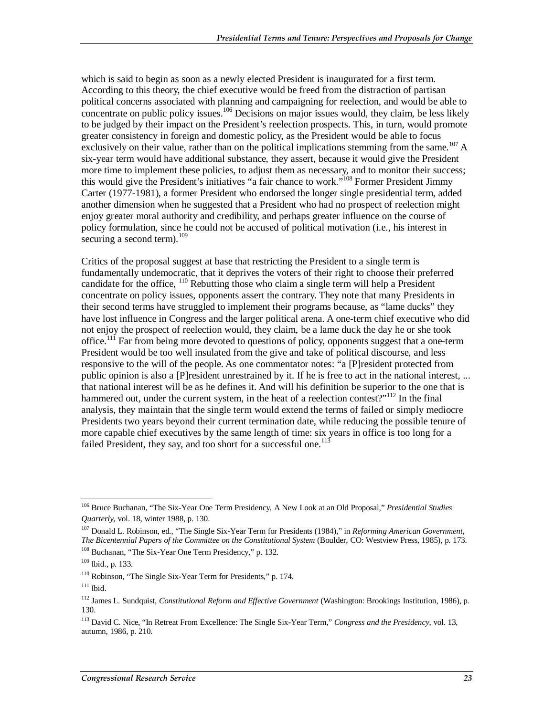which is said to begin as soon as a newly elected President is inaugurated for a first term. According to this theory, the chief executive would be freed from the distraction of partisan political concerns associated with planning and campaigning for reelection, and would be able to concentrate on public policy issues.<sup>106</sup> Decisions on major issues would, they claim, be less likely to be judged by their impact on the President's reelection prospects. This, in turn, would promote greater consistency in foreign and domestic policy, as the President would be able to focus exclusively on their value, rather than on the political implications stemming from the same.<sup>107</sup> A six-year term would have additional substance, they assert, because it would give the President more time to implement these policies, to adjust them as necessary, and to monitor their success; this would give the President's initiatives "a fair chance to work."<sup>108</sup> Former President Jimmy Carter (1977-1981), a former President who endorsed the longer single presidential term, added another dimension when he suggested that a President who had no prospect of reelection might enjoy greater moral authority and credibility, and perhaps greater influence on the course of policy formulation, since he could not be accused of political motivation (i.e., his interest in securing a second term). $109$ 

Critics of the proposal suggest at base that restricting the President to a single term is fundamentally undemocratic, that it deprives the voters of their right to choose their preferred candidate for the office,  $^{110}$  Rebutting those who claim a single term will help a President concentrate on policy issues, opponents assert the contrary. They note that many Presidents in their second terms have struggled to implement their programs because, as "lame ducks" they have lost influence in Congress and the larger political arena. A one-term chief executive who did not enjoy the prospect of reelection would, they claim, be a lame duck the day he or she took office.<sup>111</sup> Far from being more devoted to questions of policy, opponents suggest that a one-term President would be too well insulated from the give and take of political discourse, and less responsive to the will of the people. As one commentator notes: "a [P]resident protected from public opinion is also a [P]resident unrestrained by it. If he is free to act in the national interest, ... that national interest will be as he defines it. And will his definition be superior to the one that is hammered out, under the current system, in the heat of a reelection contest?"<sup>112</sup> In the final analysis, they maintain that the single term would extend the terms of failed or simply mediocre Presidents two years beyond their current termination date, while reducing the possible tenure of more capable chief executives by the same length of time: six years in office is too long for a failed President, they say, and too short for a successful one.<sup>113</sup>

<sup>-</sup>106 Bruce Buchanan, "The Six-Year One Term Presidency, A New Look at an Old Proposal," *Presidential Studies Quarterly*, vol. 18, winter 1988, p. 130.

<sup>107</sup> Donald L. Robinson, ed., "The Single Six-Year Term for Presidents (1984)," in *Reforming American Government, The Bicentennial Papers of the Committee on the Constitutional System* (Boulder, CO: Westview Press, 1985), p. 173. <sup>108</sup> Buchanan, "The Six-Year One Term Presidency," p. 132.

 $109$  Ibid., p. 133.

<sup>110</sup> Robinson, "The Single Six-Year Term for Presidents," p. 174.

 $111$  Ibid.

<sup>112</sup> James L. Sundquist, *Constitutional Reform and Effective Government* (Washington: Brookings Institution, 1986), p. 130.

<sup>113</sup> David C. Nice, "In Retreat From Excellence: The Single Six-Year Term," *Congress and the Presidency*, vol. 13, autumn, 1986, p. 210.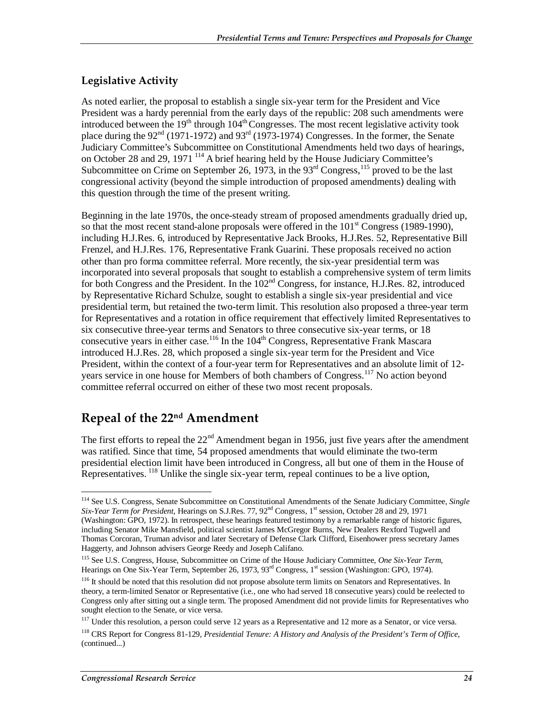#### **Legislative Activity**

As noted earlier, the proposal to establish a single six-year term for the President and Vice President was a hardy perennial from the early days of the republic: 208 such amendments were introduced between the  $19<sup>th</sup>$  through  $104<sup>th</sup>$  Congresses. The most recent legislative activity took place during the 92<sup>nd</sup> (1971-1972) and 93<sup>rd</sup> (1973-1974) Congresses. In the former, the Senate Judiciary Committee's Subcommittee on Constitutional Amendments held two days of hearings, on October 28 and 29, 1971 114 A brief hearing held by the House Judiciary Committee's Subcommittee on Crime on September 26, 1973, in the  $93<sup>rd</sup>$  Congress,  $115$  proved to be the last congressional activity (beyond the simple introduction of proposed amendments) dealing with this question through the time of the present writing.

Beginning in the late 1970s, the once-steady stream of proposed amendments gradually dried up, so that the most recent stand-alone proposals were offered in the  $101<sup>st</sup>$  Congress (1989-1990), including H.J.Res. 6, introduced by Representative Jack Brooks, H.J.Res. 52, Representative Bill Frenzel, and H.J.Res. 176, Representative Frank Guarini. These proposals received no action other than pro forma committee referral. More recently, the six-year presidential term was incorporated into several proposals that sought to establish a comprehensive system of term limits for both Congress and the President. In the 102<sup>nd</sup> Congress, for instance, H.J.Res. 82, introduced by Representative Richard Schulze, sought to establish a single six-year presidential and vice presidential term, but retained the two-term limit. This resolution also proposed a three-year term for Representatives and a rotation in office requirement that effectively limited Representatives to six consecutive three-year terms and Senators to three consecutive six-year terms, or 18 consecutive years in either case.<sup>116</sup> In the 104<sup>th</sup> Congress, Representative Frank Mascara introduced H.J.Res. 28, which proposed a single six-year term for the President and Vice President, within the context of a four-year term for Representatives and an absolute limit of 12 years service in one house for Members of both chambers of Congress.<sup>117</sup> No action beyond committee referral occurred on either of these two most recent proposals.

### **Repeal of the 22nd Amendment**

The first efforts to repeal the  $22<sup>nd</sup>$  Amendment began in 1956, just five years after the amendment was ratified. Since that time, 54 proposed amendments that would eliminate the two-term presidential election limit have been introduced in Congress, all but one of them in the House of Representatives. <sup>118</sup> Unlike the single six-year term, repeal continues to be a live option,

-

<sup>114</sup> See U.S. Congress, Senate Subcommittee on Constitutional Amendments of the Senate Judiciary Committee, *Single Six-Year Term for President*, Hearings on S.J.Res. 77, 92<sup>nd</sup> Congress, 1<sup>st</sup> session, October 28 and 29, 1971 (Washington: GPO, 1972). In retrospect, these hearings featured testimony by a remarkable range of historic figures, including Senator Mike Mansfield, political scientist James McGregor Burns, New Dealers Rexford Tugwell and Thomas Corcoran, Truman advisor and later Secretary of Defense Clark Clifford, Eisenhower press secretary James Haggerty, and Johnson advisers George Reedy and Joseph Califano.

<sup>115</sup> See U.S. Congress, House, Subcommittee on Crime of the House Judiciary Committee, *One Six-Year Term*, Hearings on One Six-Year Term, September 26, 1973, 93<sup>rd</sup> Congress, 1<sup>st</sup> session (Washington: GPO, 1974).

<sup>&</sup>lt;sup>116</sup> It should be noted that this resolution did not propose absolute term limits on Senators and Representatives. In theory, a term-limited Senator or Representative (i.e., one who had served 18 consecutive years) could be reelected to Congress only after sitting out a single term. The proposed Amendment did not provide limits for Representatives who sought election to the Senate, or vice versa.

<sup>&</sup>lt;sup>117</sup> Under this resolution, a person could serve 12 years as a Representative and 12 more as a Senator, or vice versa.

<sup>118</sup> CRS Report for Congress 81-129, *Presidential Tenure: A History and Analysis of the President's Term of Office*, (continued...)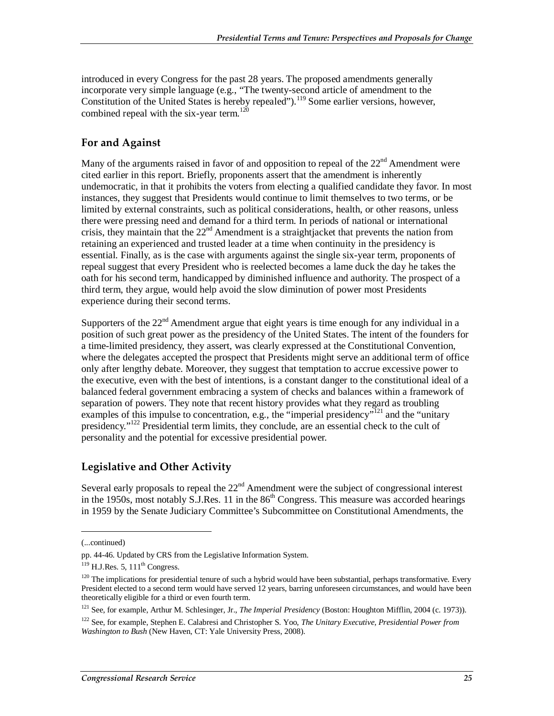introduced in every Congress for the past 28 years. The proposed amendments generally incorporate very simple language (e.g., "The twenty-second article of amendment to the Constitution of the United States is hereby repealed").<sup>119</sup> Some earlier versions, however, combined repeal with the six-year term.<sup>120</sup>

#### **For and Against**

Many of the arguments raised in favor of and opposition to repeal of the  $22<sup>nd</sup>$  Amendment were cited earlier in this report. Briefly, proponents assert that the amendment is inherently undemocratic, in that it prohibits the voters from electing a qualified candidate they favor. In most instances, they suggest that Presidents would continue to limit themselves to two terms, or be limited by external constraints, such as political considerations, health, or other reasons, unless there were pressing need and demand for a third term. In periods of national or international crisis, they maintain that the 22nd Amendment is a straightjacket that prevents the nation from retaining an experienced and trusted leader at a time when continuity in the presidency is essential. Finally, as is the case with arguments against the single six-year term, proponents of repeal suggest that every President who is reelected becomes a lame duck the day he takes the oath for his second term, handicapped by diminished influence and authority. The prospect of a third term, they argue, would help avoid the slow diminution of power most Presidents experience during their second terms.

Supporters of the  $22<sup>nd</sup>$  Amendment argue that eight years is time enough for any individual in a position of such great power as the presidency of the United States. The intent of the founders for a time-limited presidency, they assert, was clearly expressed at the Constitutional Convention, where the delegates accepted the prospect that Presidents might serve an additional term of office only after lengthy debate. Moreover, they suggest that temptation to accrue excessive power to the executive, even with the best of intentions, is a constant danger to the constitutional ideal of a balanced federal government embracing a system of checks and balances within a framework of separation of powers. They note that recent history provides what they regard as troubling examples of this impulse to concentration, e.g., the "imperial presidency"<sup>121</sup> and the "unitary" presidency."<sup>122</sup> Presidential term limits, they conclude, are an essential check to the cult of personality and the potential for excessive presidential power.

#### **Legislative and Other Activity**

Several early proposals to repeal the  $22<sup>nd</sup>$  Amendment were the subject of congressional interest in the 1950s, most notably  $S.J.Res.$  11 in the  $86<sup>th</sup>$  Congress. This measure was accorded hearings in 1959 by the Senate Judiciary Committee's Subcommittee on Constitutional Amendments, the

1

121 See, for example, Arthur M. Schlesinger, Jr., *The Imperial Presidency* (Boston: Houghton Mifflin, 2004 (c. 1973)).

<sup>(...</sup>continued)

pp. 44-46. Updated by CRS from the Legislative Information System.

 $119$  H.J.Res. 5,  $111<sup>th</sup>$  Congress.

<sup>&</sup>lt;sup>120</sup> The implications for presidential tenure of such a hybrid would have been substantial, perhaps transformative. Every President elected to a second term would have served 12 years, barring unforeseen circumstances, and would have been theoretically eligible for a third or even fourth term.

<sup>122</sup> See, for example, Stephen E. Calabresi and Christopher S. Yoo, *The Unitary Executive, Presidential Power from Washington to Bush* (New Haven, CT: Yale University Press, 2008).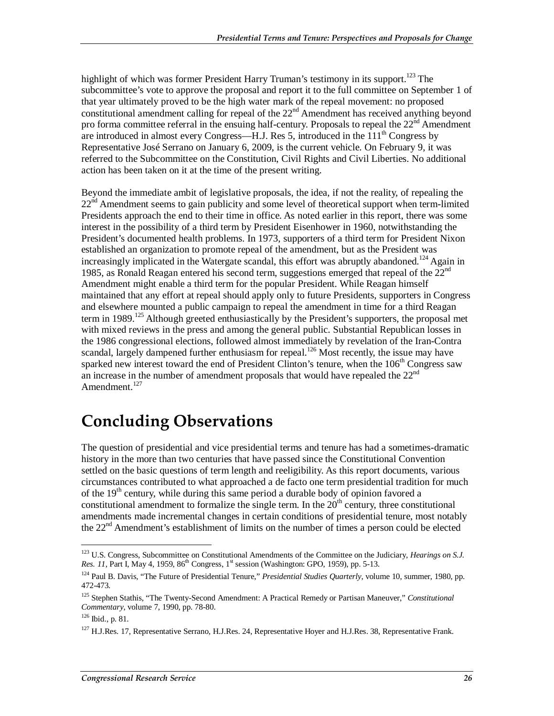highlight of which was former President Harry Truman's testimony in its support.<sup>123</sup> The subcommittee's vote to approve the proposal and report it to the full committee on September 1 of that year ultimately proved to be the high water mark of the repeal movement: no proposed constitutional amendment calling for repeal of the  $22<sup>nd</sup>$  Amendment has received anything beyond pro forma committee referral in the ensuing half-century. Proposals to repeal the  $22<sup>nd</sup>$  Amendment are introduced in almost every Congress—H.J. Res 5, introduced in the 111<sup>th</sup> Congress by Representative José Serrano on January 6, 2009, is the current vehicle. On February 9, it was referred to the Subcommittee on the Constitution, Civil Rights and Civil Liberties. No additional action has been taken on it at the time of the present writing.

Beyond the immediate ambit of legislative proposals, the idea, if not the reality, of repealing the 22<sup>nd</sup> Amendment seems to gain publicity and some level of theoretical support when term-limited Presidents approach the end to their time in office. As noted earlier in this report, there was some interest in the possibility of a third term by President Eisenhower in 1960, notwithstanding the President's documented health problems. In 1973, supporters of a third term for President Nixon established an organization to promote repeal of the amendment, but as the President was increasingly implicated in the Watergate scandal, this effort was abruptly abandoned.<sup>124</sup> Again in 1985, as Ronald Reagan entered his second term, suggestions emerged that repeal of the  $22<sup>nd</sup>$ Amendment might enable a third term for the popular President. While Reagan himself maintained that any effort at repeal should apply only to future Presidents, supporters in Congress and elsewhere mounted a public campaign to repeal the amendment in time for a third Reagan term in 1989.<sup>125</sup> Although greeted enthusiastically by the President's supporters, the proposal met with mixed reviews in the press and among the general public. Substantial Republican losses in the 1986 congressional elections, followed almost immediately by revelation of the Iran-Contra scandal, largely dampened further enthusiasm for repeal.<sup>126</sup> Most recently, the issue may have sparked new interest toward the end of President Clinton's tenure, when the  $106<sup>th</sup>$  Congress saw an increase in the number of amendment proposals that would have repealed the  $22<sup>nd</sup>$ Amendment.<sup>127</sup>

# **Concluding Observations**

The question of presidential and vice presidential terms and tenure has had a sometimes-dramatic history in the more than two centuries that have passed since the Constitutional Convention settled on the basic questions of term length and reeligibility. As this report documents, various circumstances contributed to what approached a de facto one term presidential tradition for much of the  $19<sup>th</sup>$  century, while during this same period a durable body of opinion favored a constitutional amendment to formalize the single term. In the  $20<sup>th</sup>$  century, three constitutional amendments made incremental changes in certain conditions of presidential tenure, most notably the 22nd Amendment's establishment of limits on the number of times a person could be elected

<u>.</u>

<sup>123</sup> U.S. Congress, Subcommittee on Constitutional Amendments of the Committee on the Judiciary, *Hearings on S.J. Res. 11*, Part I, May 4, 1959, 86<sup>th</sup> Congress, 1<sup>st</sup> session (Washington: GPO, 1959), pp. 5-13.

<sup>124</sup> Paul B. Davis, "The Future of Presidential Tenure," *Presidential Studies Quarterly*, volume 10, summer, 1980, pp. 472-473.

<sup>125</sup> Stephen Stathis, "The Twenty-Second Amendment: A Practical Remedy or Partisan Maneuver," *Constitutional Commentary*, volume 7, 1990, pp. 78-80.<br><sup>126</sup> Ibid., p. 81.

 $127$  H.J.Res. 17, Representative Serrano, H.J.Res. 24, Representative Hoyer and H.J.Res. 38, Representative Frank.